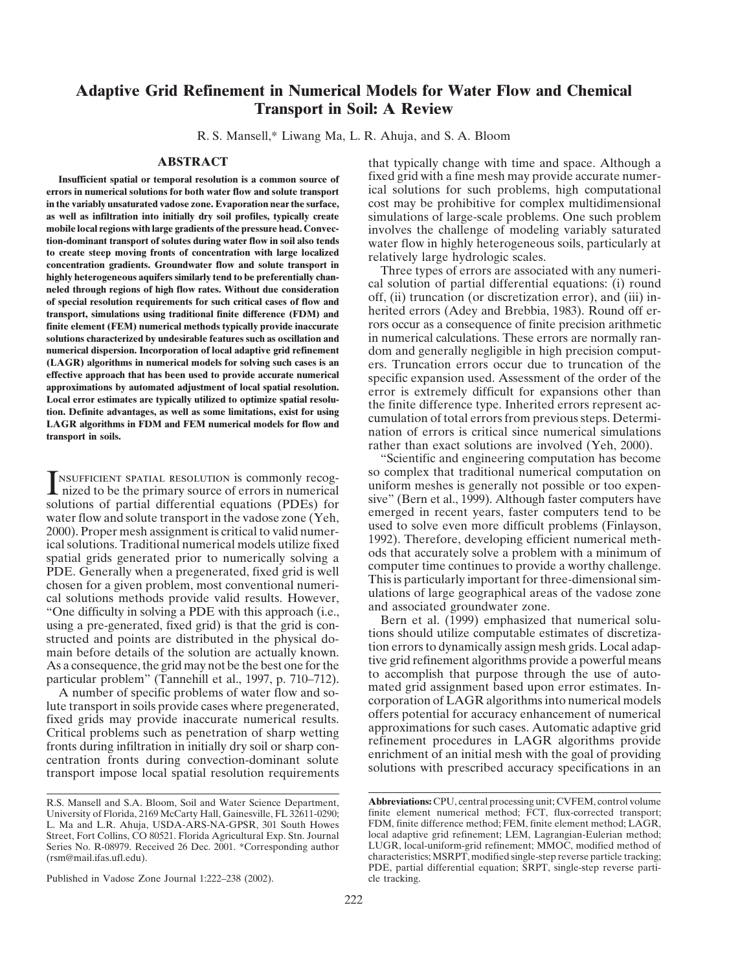## **Adaptive Grid Refinement in Numerical Models for Water Flow and Chemical Transport in Soil: A Review**

R. S. Mansell,\* Liwang Ma, L. R. Ahuja, and S. A. Bloom

**errors in numerical solutions for both water flow and solute transport** ical solutions for such problems, high computational **in the variably unsaturated vadose zone. Evaporation near the surface,** cost may be prohibitive for complex multidimensional **as well as infiltration into initially dry soil profiles, typically create** simulations of large-scale problems. One such problem mobile local regions with large gradients of the pressure head. Convection involves the cha mobile local regions with large gradients of the pressure head. Convec-<br>
involves the challenge of modeling variably saturated<br>
ion-dominant transport of solutes during water flow in soil also tends<br>
water flow in highly h tion-dominant transport of solutes during water flow in soil also tends<br>to create steep moving fronts of concentration with large localized<br>concentration gradients. Groundwater flow and solute transport in<br>highly heterogen of special resolution requirements for such critical cases of flow and<br>transport, simulations using traditional finite difference (FDM) and herited errors (Adey and Brebbia, 1983). Round off er**finite element (FEM) numerical methods typically provide inaccurate** rors occur as a consequence of finite precision arithmetic solutions characterized by undesirable features such as oscillation and<br>numerical calculations. These errors are normally ran-<br>numerical dispersion. Incorporation of local adaptive grid refinement<br>dom and generally negligi **numerical dispersion. Incorporation of local adaptive grid refinement** dom and generally negligible in high precision comput-<br>(LAGR) algorithms in numerical models for solving such cases is an example of the contraction o **(LAGR) algorithms in numerical models for solving such cases is an** ers. Truncation errors occur due to truncation of the effective approach that has been used to provide accurate numerical<br>approximations by automated adjustment of local spatial resolution.<br>Local error is extremely difficult for expansions other than<br>the finite difference typ

INSURFICENTY SENOUTION is commonly recog-<br>
inform meshes is generally not possible or too expension and the<br>
inform meshes in tunner and uniform meshes in tunner and tunner and tunner<br>
solutions of partial differential equ

Published in Vadose Zone Journal 1:222–238 (2002). cle tracking.

**ABSTRACT** that typically change with time and space. Although a fixed grid with a fine mesh may provide accurate numer- **Insufficient spatial or temporal resolution is a common source of**

rather than exact solutions are involved (Yeh, 2000).

"Scientific and engineering computation has become **SOCUT AN INSUFFICIENT SPATIAL RESOLUTION is commonly recog-** so complex that traditional numerical computation on uniform meshes is generally not possible or too expensiolutions of partial differential equations (PDEs) fo

R.S. Mansell and S.A. Bloom, Soil and Water Science Department, **Abbreviations:** CPU, central processing unit; CVFEM, control volume University of Florida, 2169 McCarty Hall, Gainesville, FL 32611-0290; finite element numerical method; FCT, flux-corrected transport; L. Ma and L.R. Ahuja, USDA-ARS-NA-GPSR, 301 South Howes FDM, finite difference method; F L. Ma and L.R. Ahuja, USDA-ARS-NA-GPSR, 301 South Howes FDM, finite difference method; FEM, finite element method; LAGR, Street, Fort Collins, CO 80521. Florida Agricultural Exp. Stn. Journal local adaptive grid refinement; LEM, Lagrangian-Eulerian method; Series No. R-08979. Received 26 Dec. 2001. \*Corresponding author LUGR, local-uniform-grid refinement; MMOC, modified method of (rsm@mail.ifas.ufl.edu). characteristics; MSRPT, modified single-step reverse particle tracking; PDE, partial differential equation; SRPT, single-step reverse parti-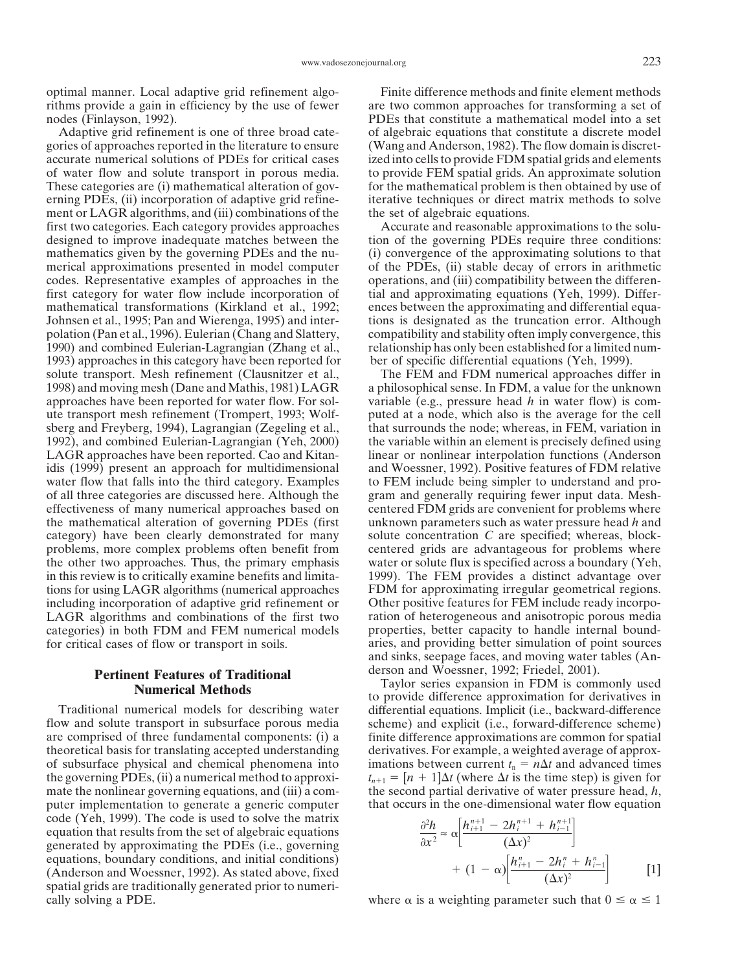gories of approaches reported in the literature to ensure (Wang and Anderson, 1982). The flow domain is discretaccurate numerical solutions of PDEs for critical cases ized into cells to provide FDM spatial grids and elements of water flow and solute transport in porous media. to provide FEM spatial grids. An approximate solution These categories are (i) mathematical alteration of gov-<br>for the mathematical problem is then obtained by use of erning PDEs, (ii) incorporation of adaptive grid refine- iterative techniques or direct matrix methods to solve ment or LAGR algorithms, and (iii) combinations of the the set of algebraic equations. first two categories. Each category provides approaches Accurate and reasonable approximations to the soludesigned to improve inadequate matches between the tion of the governing PDEs require three conditions: mathematics given by the governing PDEs and the nu- (i) convergence of the approximating solutions to that merical approximations presented in model computer of the PDEs, (ii) stable decay of errors in arithmetic codes. Representative examples of approaches in the operations, and (iii) compatibility between the differenfirst category for water flow include incorporation of tial and approximating equations (Yeh, 1999). Differmathematical transformations (Kirkland et al., 1992; ences between the approximating and differential equa-Johnsen et al., 1995; Pan and Wierenga, 1995) and inter- tions is designated as the truncation error. Although polation (Pan et al., 1996). Eulerian (Chang and Slattery, compatibility and stability often imply convergence, this 1990) and combined Eulerian-Lagrangian (Zhang et al., relationship has only been established for a limited num-1993) approaches in this category have been reported for ber of specific differential equations (Yeh, 1999). solute transport. Mesh refinement (Clausnitzer et al., The FEM and FDM numerical approaches differ in 1998) and moving mesh (Dane and Mathis, 1981) LAGR a philosophical sense. In FDM, a value for the unknown approaches have been reported for water flow. For sol- variable (e.g., pressure head *h* in water flow) is comute transport mesh refinement (Trompert, 1993; Wolf- puted at a node, which also is the average for the cell sberg and Freyberg, 1994), Lagrangian (Zegeling et al., that surrounds the node; whereas, in FEM, variation in 1992), and combined Eulerian-Lagrangian (Yeh, 2000) the variable within an element is precisely defined using LAGR approaches have been reported. Cao and Kitan- linear or nonlinear interpolation functions (Anderson idis (1999) present an approach for multidimensional and Woessner, 1992). Positive features of FDM relative water flow that falls into the third category. Examples to FEM include being simpler to understand and proof all three categories are discussed here. Although the gram and generally requiring fewer input data. Mesheffectiveness of many numerical approaches based on centered FDM grids are convenient for problems where the mathematical alteration of governing PDEs (first unknown parameters such as water pressure head *h* and category) have been clearly demonstrated for many solute concentration *C* are specified; whereas, blockproblems, more complex problems often benefit from centered grids are advantageous for problems where the other two approaches. Thus, the primary emphasis water or solute flux is specified across a boundary (Yeh, in this review is to critically examine benefits and limita- 1999). The FEM provides a distinct advantage over tions for using LAGR algorithms (numerical approaches FDM for approximating irregular geometrical regions. including incorporation of adaptive grid refinement or Other positive features for FEM include ready incorpo-LAGR algorithms and combinations of the first two ration of heterogeneous and anisotropic porous media categories) in both FDM and FEM numerical models properties, better capacity to handle internal boundfor critical cases of flow or transport in soils. aries, and providing better simulation of point sources

of subsurface physical and chemical phenomena into mate the nonlinear governing equations, and (iii) a comcode (Yeh, 1999). The code is used to solve the matrix equation that results from the set of algebraic equations <sup>2</sup> generated by approximating the PDEs (i.e., governing equations, boundary conditions, and initial conditions) (Anderson and Woessner, 1992). As stated above, fixed spatial grids are traditionally generated prior to numeri-

optimal manner. Local adaptive grid refinement algo- Finite difference methods and finite element methods rithms provide a gain in efficiency by the use of fewer are two common approaches for transforming a set of nodes (Finlayson, 1992). PDEs that constitute a mathematical model into a set Adaptive grid refinement is one of three broad cate- of algebraic equations that constitute a discrete model

and sinks, seepage faces, and moving water tables (An-

**Pertinent Features of Traditional** derson and Woessner, 1992; Friedel, 2001).<br> **Numerical Methods** to provide difference approximation for derivatives in Traditional numerical models for describing water differential equations. Implicit (i.e., backward-difference flow and solute transport in subsurface porous media scheme) and explicit (i.e., forward-difference scheme) are comprised of three fundamental components: (i) a finite difference approximations are common for spatial theoretical basis for translating accepted understanding derivatives. For example, a weighted average of approximations between current  $t_n = n\Delta t$  and advanced times the governing PDEs, (ii) a numerical method to approxi-<br>mate the nonlinear governing equations, and (iii) a com-<br>the second partial derivative of water pressure head, h,  $t$  (where  $\Delta t$  is the time step) is given for puter implementation to generate a generic computer that occurs in the one-dimensional water flow equation

$$
\frac{\partial^2 h}{\partial x^2} \approx \alpha \left[ \frac{h_{i+1}^{n+1} - 2h_i^{n+1} + h_{i-1}^{n+1}}{(\Delta x)^2} \right] + (1 - \alpha) \left[ \frac{h_{i+1}^n - 2h_i^n + h_{i-1}^n}{(\Delta x)^2} \right]
$$
 [1]

cally solving a PDE. where  $\alpha$  is a weighting parameter such that  $0 \leq \alpha \leq 1$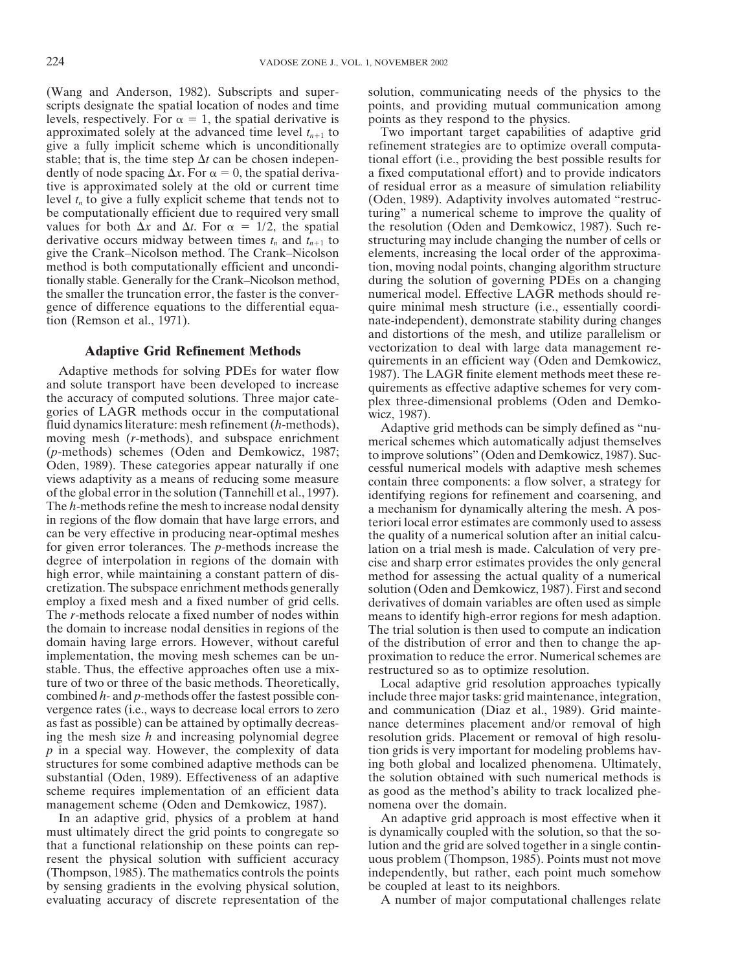scripts designate the spatial location of nodes and time points, and providing mutual communication among levels, respectively. For  $\alpha = 1$ , the spatial derivative is points as they respond to the physics. approximated solely at the advanced time level  $t_{n+1}$  to Two important target capabilities of adaptive grid give a fully implicit scheme which is unconditionally refinement strategies are to optimize overall computagive a fully implicit scheme which is unconditionally stable; that is, the time step  $\Delta t$  can be chosen independently of node spacing  $\Delta x$ . For  $\alpha = 0$ , the spatial derivative is approximated solely at the old or current time of residual error as a measure of simulation reliability level  $t_n$  to give a fully explicit scheme that tends not to (Oden, 1989). Adaptivity involves automated "restrucbe computationally efficient due to required very small turing" a numerical scheme to improve the quality of values for both  $\Delta x$  and  $\Delta$ derivative occurs midway between times  $t_n$  and  $t_{n+1}$  to structuring may include changing the number of cells or give the Crank–Nicolson method. The Crank–Nicolson elements, increasing the local order of the approximamethod is both computationally efficient and uncondi-<br>tion, moving nodal points, changing algorithm structure tionally stable. Generally for the Crank–Nicolson method, during the solution of governing PDEs on a changing the smaller the truncation error, the faster is the conver- numerical model. Effective LAGR methods should regence of difference equations to the differential equa- quire minimal mesh structure (i.e., essentially coordition (Remson et al., 1971). nate-independent), demonstrate stability during changes

Adaptive methods for solving PDEs for water flow<br>and solute transport have been developed to increase<br>and solute transport have been developed to increase<br>quirements as effective adaptive schemes for very com-<br>the accurac degree of interpolation in regions of the domain with cise and sharp error estimates provides the only general high error, while maintaining a constant pattern of dis-<br>method for assessing the actual quality of a numerical high error, while maintaining a constant pattern of dis-<br>cretization. The subspace enrichment methods generally solution (Oden and Demkowicz, 1987). First and second cretization. The subspace enrichment methods generally solution (Oden and Demkowicz, 1987). First and second employ a fixed mesh and a fixed number of grid cells. derivatives of domain variables are often used as simple employ a fixed mesh and a fixed number of grid cells. derivatives of domain variables are often used as simple<br>The r-methods relocate a fixed number of nodes within means to identify high-error regions for mesh adaption. The *r*-methods relocate a fixed number of nodes within means to identify high-error regions for mesh adaption.<br>the domain to increase nodal densities in regions of the The trial solution is then used to compute an indicat domain having large errors. However, without careful of the distribution of error and then to change the ap-<br>implementation, the moving mesh schemes can be un-<br>proximation to reduce the error. Numerical schemes are stable. Thus, the effective approaches often use a mix-<br>ture of two or three of the basic methods. Theoretically, Local adaptive grid resolution approaches ture of two or three of the basic methods. Theoretically, Local adaptive grid resolution approaches typically combined h- and p-methods offer the fastest possible con-<br>include three major tasks: grid maintenance, integrati combined *h*- and *p*-methods offer the fastest possible con-<br>vergence rates (i.e., ways to decrease local errors to zero and communication (Diaz et al., 1989). Grid mainteas fast as possible) can be attained by optimally decreas- nance determines placement and/or removal of high ing the mesh size *h* and increasing polynomial degree resolution grids. Placement or removal of high resolu*p* in a special way. However, the complexity of data tion grids is very important for modeling problems hav-<br>structures for some combined adaptive methods can be ing both global and localized phenomena. Ultimately, substantial (Oden, 1989). Effectiveness of an adaptive the solution obtained with such numerical methods is scheme requires implementation of an efficient data as good as the method's ability to track localized phemanagement scheme (Oden and Demkowicz, 1987). nomena over the domain.

In an adaptive grid, physics of a problem at hand An adaptive grid approach is most effective when it must ultimately direct the grid points to congregate so is dynamically coupled with the solution, so that the sothat a functional relationship on these points can rep- lution and the grid are solved together in a single continresent the physical solution with sufficient accuracy uous problem (Thompson, 1985). Points must not move (Thompson, 1985). The mathematics controls the points independently, but rather, each point much somehow by sensing gradients in the evolving physical solution, be coupled at least to its neighbors. evaluating accuracy of discrete representation of the A number of major computational challenges relate

(Wang and Anderson, 1982). Subscripts and super- solution, communicating needs of the physics to the

*tional effort (i.e., providing the best possible results for* a fixed computational effort) and to provide indicators the resolution (Oden and Demkowicz, 1987). Such reand distortions of the mesh, and utilize parallelism or **Adaptive Grid Refinement Methods** vectorization to deal with large data management requirements in an efficient way (Oden and Demkowicz,

> The trial solution is then used to compute an indication proximation to reduce the error. Numerical schemes are

> and communication (Diaz et al., 1989). Grid mainteing both global and localized phenomena. Ultimately,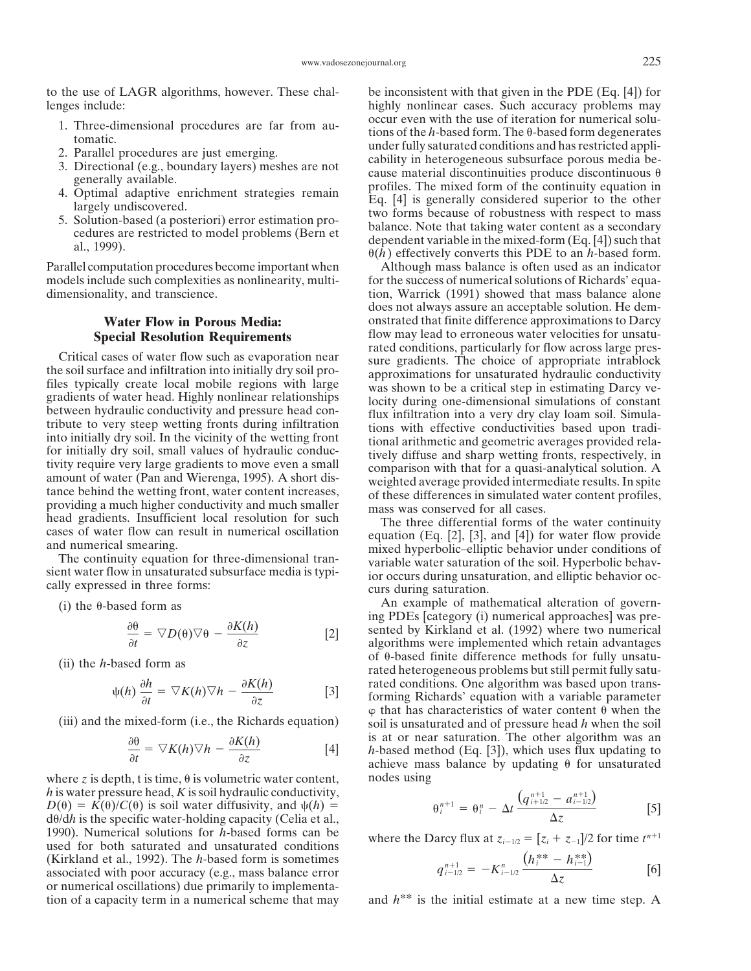lenges include: highly nonlinear cases. Such accuracy problems may

- 
- 
- 
- 
- 

models include such complexities as nonlinearity, multi- for the success of numerical solutions of Richards' equadimensionality, and transcience. the tion of the state of the state of the state alone alone alone dimensionality, and transcience.

$$
\frac{\partial \theta}{\partial t} = \nabla D(\theta) \nabla \theta - \frac{\partial K(h)}{\partial z}
$$
 [2]

$$
\psi(h) \frac{\partial h}{\partial t} = \nabla K(h) \nabla h - \frac{\partial K(h)}{\partial z} \tag{3}
$$

$$
\frac{\partial \theta}{\partial t} = \nabla K(h) \nabla h - \frac{\partial K(h)}{\partial z} \tag{4}
$$

where *z* is depth, t is time,  $\theta$  is volumetric water content, nodes using *h* is water pressure head, *K* is soil hydraulic conductivity,  $D(\theta) = K(\theta)/C(\theta)$  is soil water diffusivity, and  $\psi(h) =$  $d\theta/dh$  is the specific water-holding capacity (Celia et al., 1990). Numerical solutions for *h*-based forms can be where the Darcy flux at  $z_{i-1/2} = [z_i + z_{-1}]/2$  for time  $t^{n+1}$ used for both saturated and unsaturated conditions (Kirkland et al., 1992). The *h*-based form is sometimes [6] associated with poor accuracy (e.g., mass balance error or numerical oscillations) due primarily to implementation of a capacity term in a numerical scheme that may and *h*\*\* is the initial estimate at a new time step. A

to the use of LAGR algorithms, however. These chal- be inconsistent with that given in the PDE (Eq. [4]) for 1. Three-dimensional procedures are far from au-<br>
2. Parallel procedures are just emerging.<br>
2. Parallel procedures are just emerging.<br>
2. Directional (e.g., boundary layers) meshes are not<br>
alter fully saturated conditio

Parallel computation procedures become important when Although mass balance is often used as an indicator does not always assure an acceptable solution. He dem-**Water Flow in Porous Media:** onstrated that finite difference approximations to Darcy **Special Resolution Requirements** flow may lead to erroneous water velocities for unsatu-<br>rated conditions, particularly for flow across large pres-Critical cases of water flow such as evaporation near<br>the soil surface and infiltration into initially dry soil pro-<br>the soil surface and infiltration into initially dry soil pro-<br>approximations for unsaturated hydraulic c

head gradients. Insufficient local resolution for such<br>cases of water flow can result in numerical oscillation<br>and numerical smearing.<br>The continuity equation for three-dimensional tran-<br>sient water flow in unsaturated sub

(i) the  $\theta$ -based form as  $\theta$  An example of mathematical alteration of governing PDEs [category (i) numerical approaches] was presented by Kirkland et al. (1992) where two numerical algorithms were implemented which retain advantages of -based finite difference methods for fully unsatu- (ii) the *<sup>h</sup>*-based form as rated heterogeneous problems but still permit fully saturated conditions. One algorithm was based upon transforming Richards' equation with a variable parameter  $\varphi$  that has characteristics of water content  $\theta$  when the (iii) and the mixed-form (i.e., the Richards equation) soil is unsaturated and of pressure head *h* when the soil is at or near saturation. The other algorithm was an  $h$ -based method (Eq. [3]), which uses flux updating to achieve mass balance by updating  $\theta$  for unsaturated

$$
\theta_i^{n+1} = \theta_i^n - \Delta t \frac{\left(q_{i+1/2}^{n+1} - a_{i-1/2}^{n+1}\right)}{\Delta z}
$$
 [5]

$$
q_{i-1/2}^{n+1} = -K_{i-1/2}^{n} \frac{\left(h_i^{**} - h_{i-1}^{**}\right)}{\Delta z} \tag{6}
$$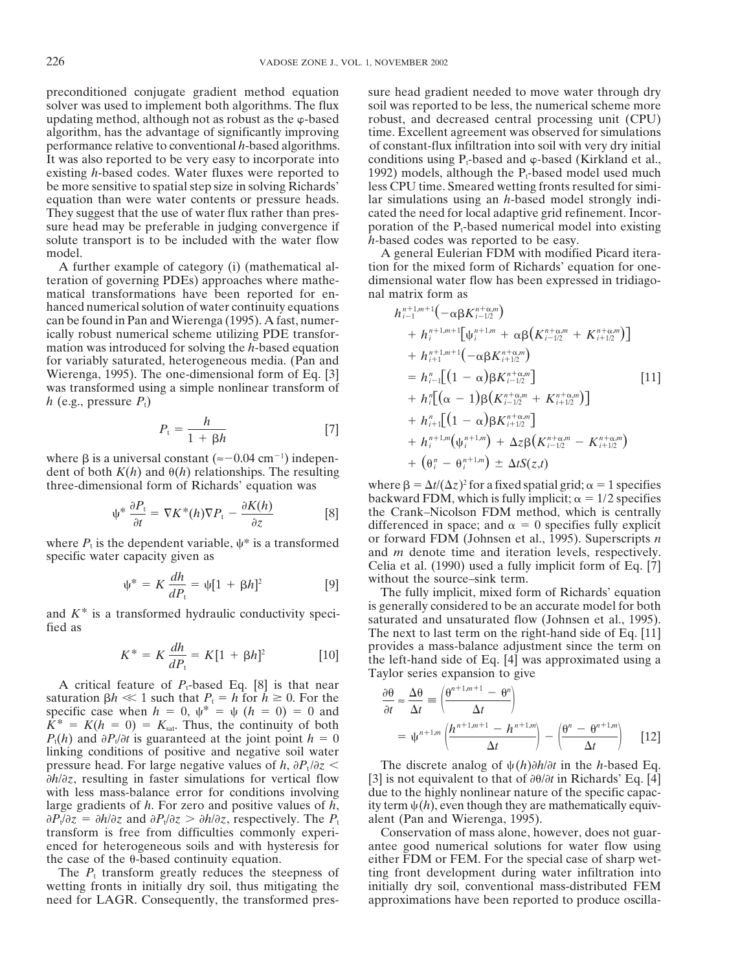solver was used to implement both algorithms. The flux soil was reported to be less, the numerical scheme more updating method, although not as robust as the  $\varphi$ -based robust, and decreased central processing unit (CPU) algorithm, has the advantage of significantly improving time. Excellent agreement was observed for simulations performance relative to conventional *h*-based algorithms. of constant-flux infiltration into soil with very dry initial It was also reported to be very easy to incorporate into conditions using  $P_t$ -based and  $\varphi$ -based (Kirkland et al., existing *h*-based codes. Water fluxes were reported to 1992) models, although the  $P_t$ -based model us be more sensitive to spatial step size in solving Richards' less CPU time. Smeared wetting fronts resulted for simiequation than were water contents or pressure heads. lar simulations using an *h*-based model strongly indi-They suggest that the use of water flux rather than pres- cated the need for local adaptive grid refinement. Incorsure head may be preferable in judging convergence if poration of the  $P_t$ -based numerical model into existing solute transport is to be included with the water flow *h*-based codes was reported to be easy. model. A general Eulerian FDM with modified Picard itera-

teration of governing PDEs) approaches where mathe- dimensional water flow has been expressed in tridiagomatical transformations have been reported for en- nal matrix form as hanced numerical solution of water continuity equations can be found in Pan and Wierenga (1995). A fast, numerically robust numerical scheme utilizing PDE transformation was introduced for solving the *h*-based equation for variably saturated, heterogeneous media. (Pan and Wierenga, 1995). The one-dimensional form of Eq. [3] *h<sup>n</sup>* Wierenga, 1995). The one-dimensional form of Eq. [3]  $= h_{i-1}^n \left[ (1 - \alpha) \beta K_{i-1}^{n-\alpha} \right]$  [11]<br>was transformed using a simple nonlinear transform of was transformed using a simple nonlinear transform of  $h$  (e.g., pressure  $P_t$ )  $+ h_i^{\prime\prime}[(\alpha - 1)\beta(K_{i-1/2}^{n+\alpha,m} + K_{i+1/2}^{n+\alpha,m})]$ 

$$
P_{t} = \frac{h}{1 + \beta h}
$$
  
\n
$$
[7]
$$
  
\n
$$
+ h_{i+1}^{n}[(1 - \alpha)\beta K_{i+1/2}^{n+\alpha,m}] + \Delta_{\mathcal{B}}R_{i+1/2}^{n+\alpha,m}
$$

where  $\beta$  is a universal constant ( $\approx$  -0.04 cm<sup>-1</sup>) indepen-<br>  $+$  ( $\theta_i$ <sup>n</sup>) *dent of both*  $K(h)$  *and*  $\theta(h)$  *relationships. The resulting* three-dimensional form of Richards' equation was

$$
\psi^* \frac{\partial P_t}{\partial t} = \nabla K^*(h) \nabla P_t - \frac{\partial K(h)}{\partial z}
$$
 [8]

$$
\psi^* = K \frac{dh}{dP_t} = \psi[1 + \beta h]^2
$$
 [9] without the source-sink term.  
The fully implicit, mixed for

$$
K^* = K \frac{dh}{dP_t} = K[1 + \beta h]^2
$$
 [10]

A critical feature of  $P_t$ -based Eq. [8] is that near saturation  $\beta h \ll 1$  such that  $P_t = h$  for  $h \ge 0$ . For the  $\frac{\partial \theta}{\partial n}$ specific case when  $h = 0$ ,  $\psi^* = \psi (h = 0) = 0$  and  $K^* = K(h = 0) = K_{sat}$ . Thus, the continuity of both  $P_1(h)$  and  $\partial P_1/\partial t$  is guaranteed at the joint point  $h = 0$ linking conditions of positive and negative soil water pressure head. For large negative values of *h*,  $\partial P_t / \partial z$  The discrete analog of  $\psi(h) \partial h / \partial t$  in the *h*-based Eq.  $\partial h/\partial z$ , resulting in faster simulations for vertical flow [3] is not equivalent to that of  $\partial \theta/\partial t$  in Richards' Eq. [4] with less mass-balance error for conditions involving due to the highly nonlinear nature of the specific capaclarge gradients of *h*. For zero and positive values of *h*, ity term  $\psi(h)$ , even though they are mathematically equiv- $\partial P_t/\partial z = \partial h/\partial z$  and  $\partial P_t/\partial z > \partial h/\partial z$ , respectively. The  $P_t$  alent (Pan and Wierenga, 1995).<br>transform is free from difficulties commonly expericed conservation of mass alone, however, does not guartransform is free from difficulties commonly experienced for heterogeneous soils and with hysteresis for

wetting fronts in initially dry soil, thus mitigating the initially dry soil, conventional mass-distributed FEM need for LAGR. Consequently, the transformed pres- approximations have been reported to produce oscilla-

preconditioned conjugate gradient method equation sure head gradient needed to move water through dry 1992) models, although the P<sub>t</sub>-based model used much

A further example of category (i) (mathematical al- tion for the mixed form of Richards' equation for one-

$$
h_{i-1}^{n+1,m+1}(-\alpha\beta K_{i-1/2}^{n+\alpha,m})
$$
  
+ 
$$
h_i^{n+1,m+1}[\psi_i^{n+1,m} + \alpha\beta (K_{i-1/2}^{n+\alpha,m} + K_{i+1/2}^{n+\alpha,m})]
$$
  
+ 
$$
h_{i+1}^{n+1,m+1}(-\alpha\beta K_{i+1/2}^{n+\alpha,m})
$$
  
= 
$$
h_{i-1}^n[(1-\alpha)\beta (K_{i-1/2}^{n+\alpha,m} + K_{i+1/2}^{n+\alpha,m})]
$$
  
+ 
$$
h_i^n[(\alpha - 1)\beta (K_{i-1/2}^{n+\alpha,m} + K_{i+1/2}^{n+\alpha,m})]
$$
  
+ 
$$
h_{i+1}^n[(1-\alpha)\beta K_{i+1/2}^{n+\alpha,m}]
$$
  
+ 
$$
h_i^{n+1,m}(\psi_i^{n+1,m}) + \Delta z\beta (K_{i-1/2}^{n+\alpha,m} - K_{i+1/2}^{n+\alpha,m})
$$
  
+ 
$$
(\theta_i^n - \theta_i^{n+1,m}) \pm \Delta tS(z,t)
$$

where  $\beta = \Delta t/(\Delta)$ backward FDM, which is fully implicit;  $\alpha = 1/2$  specifies the Crank–Nicolson FDM method, which is centrally differenced in space; and  $\alpha = 0$  specifies fully explicit or forward FDM (Johnsen et al., 1995). Superscripts *n* where  $P_t$  is the dependent variable,  $\psi^*$  is a transformed<br>since it is a property of *PH* is the dependent variable,  $\psi^*$  is a transformed<br>and *m* denote time and iteration levels, respectively. and *m* denote time and iteration levels, respectively.<br>Celia et al. (1990) used a fully implicit form of Eq. [7]

The fully implicit, mixed form of Richards' equation<br>is generally considered to be an accurate model for both and  $K^*$  is a transformed hydraulic conductivity speci-<br>fied as<br>The next to last term on the right-hand side of Eq. [11] provides a mass-balance adjustment since the term on the left-hand side of Eq.  $[4]$  was approximated using a Taylor series expansion to give

$$
\frac{\partial \theta}{\partial t} \approx \frac{\Delta \theta}{\Delta t} \equiv \left( \frac{\theta^{n+1,m+1} - \theta^n}{\Delta t} \right)
$$

$$
= \psi^{n+1,m} \left( \frac{h^{n+1,m+1} - h^{n+1,m}}{\Delta t} \right) - \left( \frac{\theta^n - \theta^{n+1,m}}{\Delta t} \right) \quad [12]
$$

antee good numerical solutions for water flow using the case of the  $\theta$ -based continuity equation. either FDM or FEM. For the special case of sharp wet-The  $P_t$  transform greatly reduces the steepness of ting front development during water infiltration into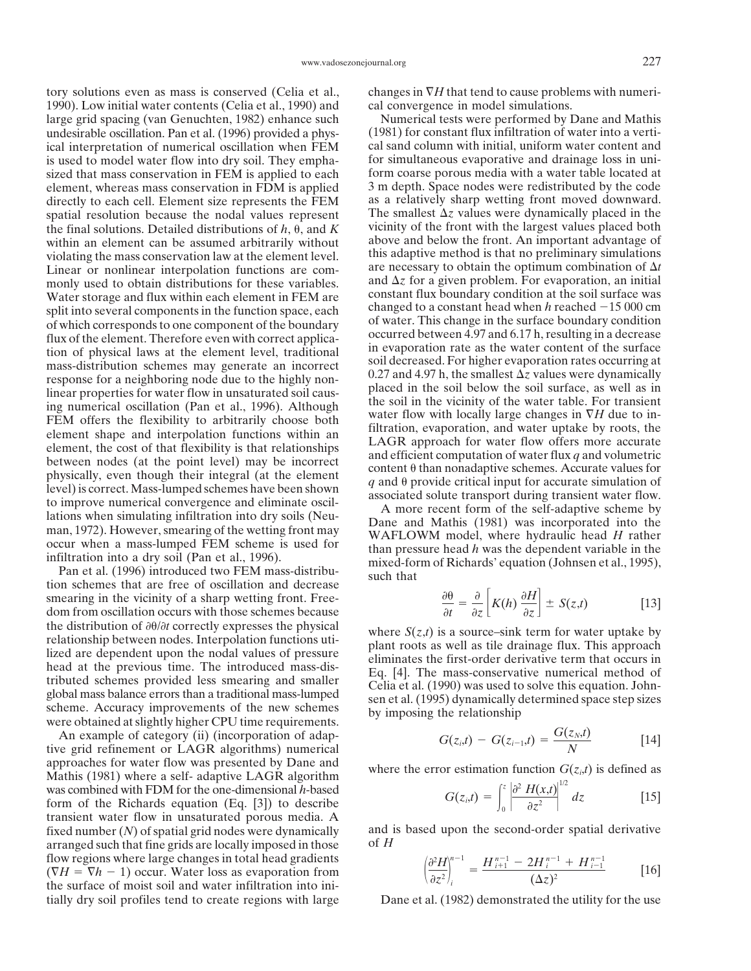1990). Low initial water contents (Celia et al., 1990) and cal convergence in model simulations. large grid spacing (van Genuchten, 1982) enhance such Numerical tests were performed by Dane and Mathis undesirable oscillation. Pan et al. (1996) provided a phys- (1981) for constant flux infiltration of water into a vertiical interpretation of numerical oscillation when FEM cal sand column with initial, uniform water content and is used to model water flow into dry soil. They empha-<br>sized that mass conservation in FEM is applied to each form coarse porous media with a water table located at sized that mass conservation in FEM is applied to each element, whereas mass conservation in FDM is applied 3 m depth. Space nodes were redistributed by the code directly to each cell. Element size represents the FEM as a relatively sharp wetting front moved downward. directly to each cell. Element size represents the FEM spatial resolution because the nodal values represent The smallest  $\Delta z$  values were dynamically placed in the the final solutions. Detailed distributions of  $h \theta$  and  $K$  vicinity of the front with the largest values pla the final solutions. Detailed distributions of  $h$ ,  $\theta$ , and  $K$ within an element can be assumed arbitrarily without above and below the front. An important advantage of violating the mass conservation law at the element level this adaptive method is that no preliminary simulations violating the mass conservation law at the element level. Linear or nonlinear interpolation functions are commonly used to obtain distributions for these variables. and  $\Delta z$  for a given problem. For evaporation, an initial water storage and flux within each element in FEM are constant flux boundary condition at the soil surface Water storage and flux within each element in FEM are constant flux boundary condition at the soil surface was<br>changed to a constant head when h reached  $-15\,000$  cm split into several components in the function space, each changed to a constant head when *h* reached -15 000 cm<br>of which corresponds to one component of the boundary of water. This change in the surface boundary condition of which corresponds to one component of the boundary<br>flux of the element. Therefore even with correct applica-<br>tion of physical laws at the element level, traditional<br>in evaporation rate as the water content of the surfac mass-distribution schemes may generate an incorrect soil decreased. For higher evaporation rates occurring at response for a neighboring node due to the highly non-<br>
linear properties for a neighboring node due to the highly non-<br>
linear properties for water flow in unsaturated soil cause in the soil surface, as well as in<br>
ling

tion schemes that are free of oscillation and decrease smearing in the vicinity of a sharp wetting front. Freedom from oscillation occurs with those schemes because the distribution of  $\partial \theta/\partial t$  correctly expresses the physical<br>relationship between nodes. Interpolation functions uti-<br>lized are dependent upon the nodal values of pressure<br>head at the previous time. The introduced mass-

An example of category (ii) (incorporation of adaptive grid refinement or LAGR algorithms) numerical approaches for water flow was presented by Dane and where the error estimation function  $G(z_i,t)$  is defined as Mathis (1981) where a self- adaptive LAGR algorithm was combined with FDM for the one-dimensional *h*-based  $G(z_i,t) = \int_0^z \frac{\partial^2 H(x,t)}{\partial z^2} dz$  [15] form of the Richards equation (Eq. [3]) to describe transient water flow in unsaturated porous media. A arranged such that fine grids are locally imposed in those flow regions where large changes in total head gradients<br>  $(\nabla H = \nabla h - 1)$  occur. Water loss as evaporation from  $\left(\frac{\partial^2 H}{\partial z^2}\right)_i^{n-1} = \frac{H_{i+1}^{n-1} - 2H_i^{n-1} + H_{i-1}^{n-1}}{(\Delta z)^2}$  [16] the surface of moist soil and water infiltration into initially dry soil profiles tend to create regions with large Dane et al. (1982) demonstrated the utility for the use

tory solutions even as mass is conserved (Celia et al., changes in *H* that tend to cause problems with numeri-

The smallest  $\Delta z$  values were dynamically placed in the are necessary to obtain the optimum combination of  $\Delta t$ and  $\Delta z$  for a given problem. For evaporation, an initial 0.27 and 4.97 h, the smallest  $\Delta z$  values were dynamically

$$
\frac{\partial \theta}{\partial t} = \frac{\partial}{\partial z} \left[ K(h) \frac{\partial H}{\partial z} \right] \pm S(z, t) \tag{13}
$$

$$
G(z_i,t) - G(z_{i-1},t) = \frac{G(z_N,t)}{N}
$$
 [14]

$$
G(z_i,t) = \int_0^z \left| \frac{\partial^2 H(x,t)}{\partial z^2} \right|^{1/2} dz
$$
 [15]

fixed number ( $N$ ) of spatial grid nodes were dynamically and is based upon the second-order spatial derivative arranged such that fine grids are locally imposed in those of  $H$ 

$$
\left(\frac{\partial^2 H}{\partial z^2}\right)_i^{n-1} = \frac{H_{i+1}^{n-1} - 2H_i^{n-1} + H_{i-1}^{n-1}}{(\Delta z)^2} \tag{16}
$$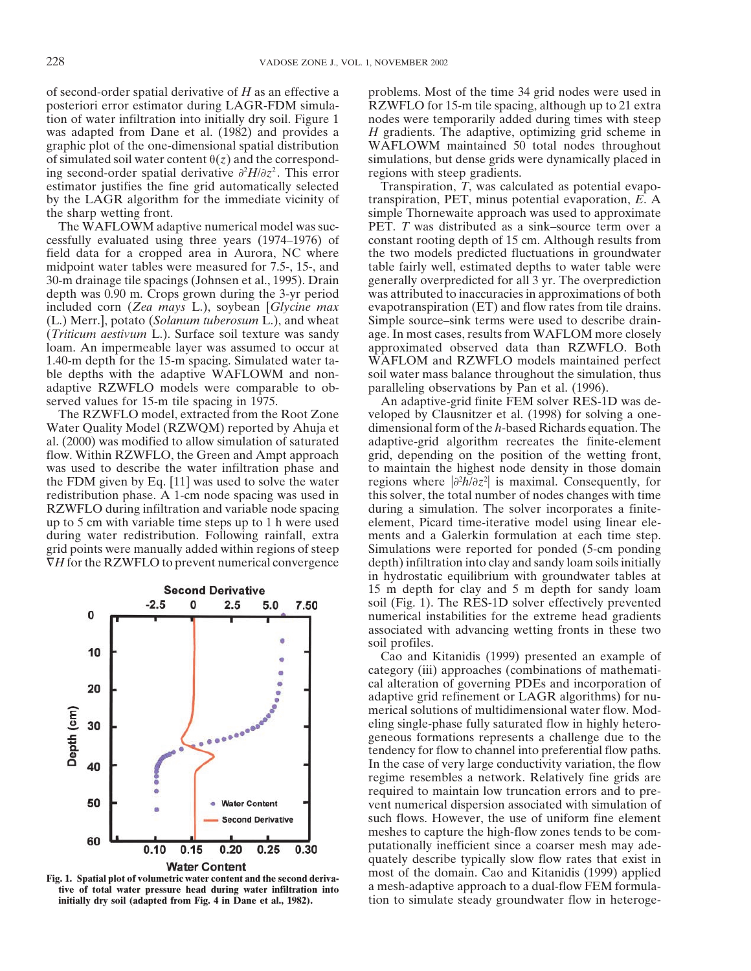of second-order spatial derivative of *H* as an effective a problems. Most of the time 34 grid nodes were used in posteriori error estimator during LAGR-FDM simula- RZWFLO for 15-m tile spacing, although up to 21 extra tion of water infiltration into initially dry soil. Figure 1 nodes were temporarily added during times with steep was adapted from Dane et al. (1982) and provides a *H* gradients. The adaptive, optimizing grid scheme in graphic plot of the one-dimensional spatial distribution WAFLOWM maintained 50 total nodes throughout of simulated soil water content  $\theta(z)$  and the correspond-<br>simulations, but dense grids were dynamically placed in ing second-order spatial derivative  $\partial^2 H / \partial z^2$ . This error estimator justifies the fine grid automatically selected Transpiration, *T*, was calculated as potential evapo-<br>by the LAGR algorithm for the immediate vicinity of transpiration, PET, minus potential evaporation, *E*. A by the LAGR algorithm for the immediate vicinity of the sharp wetting front. Simple Thornewaite approach was used to approximate

cessfully evaluated using three years (1974–1976) of constant rooting depth of 15 cm. Although results from field data for a cropped area in Aurora, NC where the two models predicted fluctuations in groundwater midpoint water tables were measured for 7.5-, 15-, and table fairly well, estimated depths to water table were 30-m drainage tile spacings (Johnsen et al., 1995). Drain generally overpredicted for all 3 yr. The overprediction depth was 0.90 m. Crops grown during the 3-yr period was attributed to inaccuracies in approximations of both included corn (*Zea mays* L.), soybean [*Glycine max* evapotranspiration (ET) and flow rates from tile drains. (L.) Merr.], potato (*Solanum tuberosum* L.), and wheat Simple source–sink terms were used to describe drain- (*Triticum aestivum* L.). Surface soil texture was sandy age. In most cases, results from WAFLOM more closely loam. An impermeable layer was assumed to occur at approximated observed data than RZWFLO. Both 1.40-m depth for the 15-m spacing. Simulated water ta- WAFLOM and RZWFLO models maintained perfect ble depths with the adaptive WAFLOWM and non-<br>soil water mass balance throughout the simulation, thus adaptive RZWFLO models were comparable to ob- paralleling observations by Pan et al. (1996). served values for 15-m tile spacing in 1975. An adaptive-grid finite FEM solver RES-1D was de-

Water Quality Model (RZWQM) reported by Ahuja et dimensional form of the *h*-based Richards equation. The al. (2000) was modified to allow simulation of saturated adaptive-grid algorithm recreates the finite-element flow. Within RZWFLO, the Green and Ampt approach grid, depending on the position of the wetting front, was used to describe the water infiltration phase and to maintain the highest node density in those domain *h*/*z* the FDM given by Eq. [11] was used to solve the water redistribution phase. A 1-cm node spacing was used in this solver, the total number of nodes changes with time RZWFLO during infiltration and variable node spacing during a simulation. The solver incorporates a finiteup to 5 cm with variable time steps up to 1 h were used element, Picard time-iterative model using linear eleduring water redistribution. Following rainfall, extra ments and a Galerkin formulation at each time step. grid points were manually added within regions of steep Simulations were reported for ponded (5-cm ponding *H* for the RZWFLO to prevent numerical convergence depth) infiltration into clay and sandy loam soils initially



**initially dry soil (adapted from Fig. 4 in Dane et al., 1982).** tion to simulate steady groundwater flow in heteroge-

regions with steep gradients.

The WAFLOWM adaptive numerical model was suc- PET. *T* was distributed as a sink–source term over a

The RZWFLO model, extracted from the Root Zone veloped by Clausnitzer et al. (1998) for solving a oneregions where  $|\partial^2 h/\partial z^2|$  is maximal. Consequently, for in hydrostatic equilibrium with groundwater tables at 15 m depth for clay and 5 m depth for sandy loam soil (Fig. 1). The RES-1D solver effectively prevented numerical instabilities for the extreme head gradients associated with advancing wetting fronts in these two soil profiles.

Cao and Kitanidis (1999) presented an example of category (iii) approaches (combinations of mathematical alteration of governing PDEs and incorporation of adaptive grid refinement or LAGR algorithms) for numerical solutions of multidimensional water flow. Modeling single-phase fully saturated flow in highly heterogeneous formations represents a challenge due to the tendency for flow to channel into preferential flow paths. In the case of very large conductivity variation, the flow regime resembles a network. Relatively fine grids are required to maintain low truncation errors and to prevent numerical dispersion associated with simulation of such flows. However, the use of uniform fine element meshes to capture the high-flow zones tends to be computationally inefficient since a coarser mesh may adequately describe typically slow flow rates that exist in **Examplement**<br>
Fig. 1. Spatial plot of volumetric water content and the second deriva-<br>
tive of total water pressure head during water infiltration into<br>
a mesh-adaptive approach to a dual-flow FEM formula-<br>
a mesh-adaptiv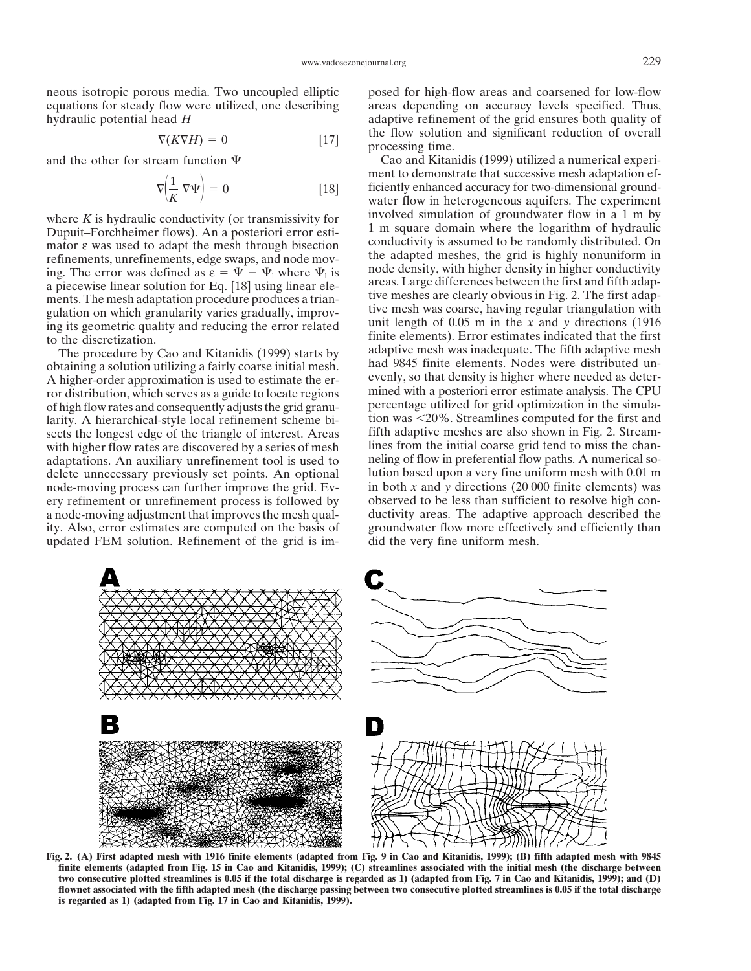equations for steady flow were utilized, one describing areas depending on accuracy levels specified. Thus, hydraulic potential head *H* adaptive refinement of the grid ensures both quality of

$$
\nabla(K\nabla H) = 0 \tag{17}
$$

$$
\nabla \left(\frac{1}{K} \nabla \Psi\right) = 0 \tag{18}
$$

Dupuit–Forchheimer flows). An a posteriori error esti-<br>Dupuit–Forchheimer flows). An a posteriori error esti-<br>mator e was used to adant the mesh through bisection conductivity is assumed to be randomly distributed. On mator  $\varepsilon$  was used to adapt the mesh through bisection<br>refinements, unrefinements, edge swaps, and node moving.<br>in the adapted meshes, the grid is highly nonuniform in<br>ing. The error was defined as  $\varepsilon = \Psi - \Psi_1$  where a piecewise linear solution for Eq. [18] using linear elements. The mesh adaptation procedure produces a trian-<br>guidarity ware and tive meshes are clearly obvious in Fig. 2. The first adap-<br>guidarion on which granularity varies gradually improv-

The procedure by Cao and Kitanidis (1999) starts by obtaining a solution utilizing a fairly coarse initial mesh. had 9845 finite elements. Nodes were distributed un-A higher-order approximation is used to estimate the er- evenly, so that density is higher where needed as deterror distribution, which serves as a guide to locate regions mined with a posteriori error estimate analysis. The CPU of high flow rates and consequently adjusts the grid granu- percentage utilized for grid optimization in the simulalarity. A hierarchical-style local refinement scheme bi-<br>sects the longest edge of the triangle of interest. Areas fifth adaptive meshes are also shown in Fig. 2. Streamsects the longest edge of the triangle of interest. Areas fifth adaptive meshes are also shown in Fig. 2. Stream-<br>with higher flow rates are discovered by a series of mesh lines from the initial coarse grid tend to miss th with higher flow rates are discovered by a series of mesh adaptations. An auxiliary unrefinement tool is used to neling of flow in preferential flow paths. A numerical so-<br>delete unnecessary previously set points. An optional lution based upon a very fine uniform mesh with 0.01 m delete unnecessary previously set points. An optional node-moving process can further improve the grid. Ev- in both x and y directions (20 000 finite elements) was ery refinement or unrefinement process is followed by observed to be less than sufficient to resolve high cona node-moving adjustment that improves the mesh qual-<br>ity. Also, error estimates are computed on the basis of groundwater flow more effectively and efficiently than ity. Also, error estimates are computed on the basis of updated FEM solution. Refinement of the grid is im- did the very fine uniform mesh.

neous isotropic porous media. Two uncoupled elliptic posed for high-flow areas and coarsened for low-flow the flow solution and significant reduction of overall processing time.

and the other for stream function  $\Psi$  Cao and Kitanidis (1999) utilized a numerical experiment to demonstrate that successive mesh adaptation ef-  ficiently enhanced accuracy for two-dimensional ground water flow in heterogeneous aquifers. The experiment where  $K$  is hydraulic conductivity (or transmissivity for involved simulation of groundwater flow in a 1 m by gulation on which granularity varies gradually, improv-<br>ing its geometric quality and reducing the error related<br>to the discretization.<br>The procedure by Cao and Kitanidis (1999) starts by<br>adaptive mesh was inadequate. The



**Fig. 2. (A) First adapted mesh with 1916 finite elements (adapted from Fig. 9 in Cao and Kitanidis, 1999); (B) fifth adapted mesh with 9845 finite elements (adapted from Fig. 15 in Cao and Kitanidis, 1999); (C) streamlines associated with the initial mesh (the discharge between two consecutive plotted streamlines is 0.05 if the total discharge is regarded as 1) (adapted from Fig. 7 in Cao and Kitanidis, 1999); and (D) flownet associated with the fifth adapted mesh (the discharge passing between two consecutive plotted streamlines is 0.05 if the total discharge is regarded as 1) (adapted from Fig. 17 in Cao and Kitanidis, 1999).**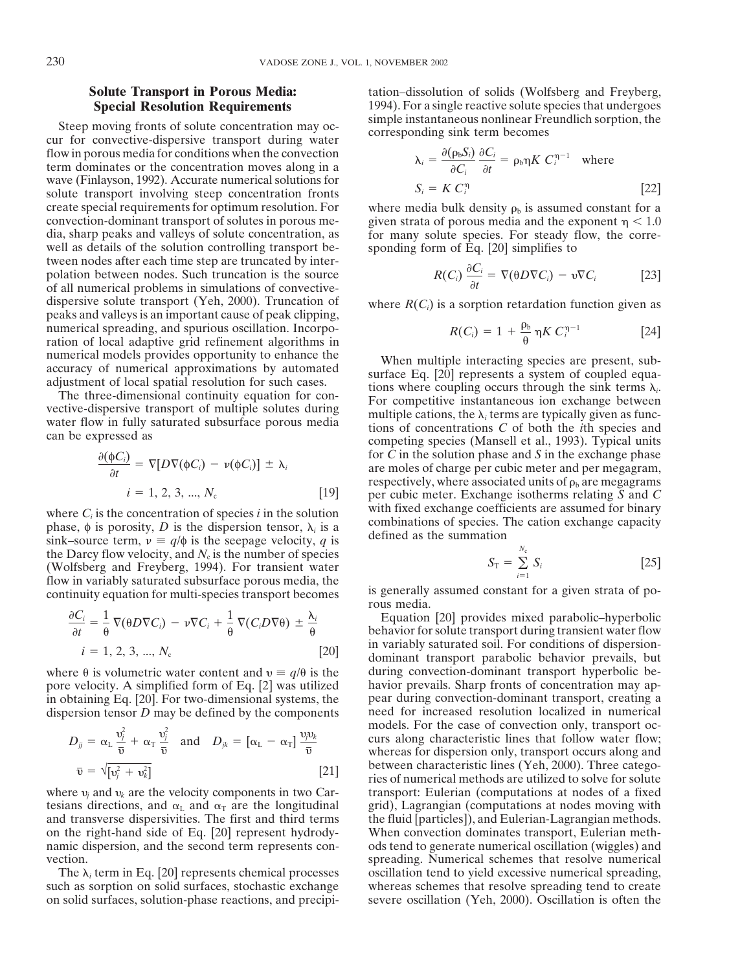Steep moving fronts of solute concentration may oc-<br>cur for convective-dispersive transport during water<br>corresponding sink term becomes flow in porous media for conditions when the convection term dominates or the concentration moves along in a wave (Finlayson, 1992). Accurate numerical solutions for solute transport involving steep concentration fronts create special requirements for optimum resolution. For where media bulk density  $\rho_b$  is assumed constant for a convection-dominant transport of solutes in porous me-<br>given strata of porous media and the exponent  $\eta$  < well as details of the solution controlling transport be-<br>sponding form of Eq. [20] simplifies to tween nodes after each time step are truncated by interpolation between nodes. Such truncation is the source of all numerical problems in simulations of convectivedispersive solute transport (Yeh, 2000). Truncation of where  $R(C_i)$  is a sorption retardation function given as peaks and valleys is an important cause of peak clipping, numerical spreading, and spurious oscillation. Incorporation of local adaptive grid refinement algorithms in

$$
\frac{\partial(\phi C_i)}{\partial t} = \nabla[D\nabla(\phi C_i) - \nu(\phi C_i)] \pm \lambda_i
$$
  

$$
i = 1, 2, 3, ..., N_c
$$
 [19]

the Darcy flow velocity, and  $N_c$  is the number of species *(Wolfsberg and Freyberg, 1994). For transient water* flow in variably saturated subsurface porous media, the is generally assumed constant for a given strata of po-<br>continuity equation for multi-species transport becomes rous media.

$$
\frac{\partial C_i}{\partial t} = \frac{1}{\theta} \nabla(\theta D \nabla C_i) - \nu \nabla C_i + \frac{1}{\theta} \nabla(C_i D \nabla \theta) \pm \frac{\lambda_i}{\theta}
$$
  
\n $i = 1, 2, 3, ..., N_c$  [20]

pore velocity. A simplified form of Eq.  $[2]$  was utilized dispersion tensor  $D$  may be defined by the components

 $\sim$ 

 $\sim$ 

$$
D_{jj} = \alpha_{\mathrm{L}} \frac{\nu_j^2}{\overline{\nu}} + \alpha_{\mathrm{T}} \frac{\nu_j^2}{\overline{\nu}} \quad \text{and} \quad D_{jk} = [\alpha_{\mathrm{L}} - \alpha_{\mathrm{T}}] \frac{\nu_j v_k}{\overline{\nu}}
$$

$$
\overline{\nu} = \sqrt{[\nu_j^2 + \nu_k^2]} \tag{21}
$$

**Solute Transport in Porous Media:** tation–dissolution of solids (Wolfsberg and Freyberg, **Special Resolution Requirements** 1994). For a single reactive solute species that undergoes simple instantaneous nonlinear Freundlich sorption, the

**City City** 

$$
\lambda_i = \frac{\partial(\rho_b S_i)}{\partial C_i} \frac{\partial C_i}{\partial t} = \rho_b \eta K C_i^{\eta - 1} \text{ where}
$$
  

$$
S_i = K C_i^{\eta}
$$
 [22]

convection-dominant transport of solutes in porous me-<br>dia, sharp peaks and valleys of solute concentration, as for many solute species. For steady flow, the correfor many solute species. For steady flow, the corre-

$$
R(C_i) \frac{\partial C_i}{\partial t} = \nabla(\theta D \nabla C_i) - \nu \nabla C_i
$$
 [23]

$$
R(C_i) = 1 + \frac{\rho_b}{\theta} \eta K C_i^{\eta - 1}
$$
 [24]

numerical models provides opportunity to enhance the<br>accuracy of numerical approximations by automated<br>adjustment of local spatial resolution for such cases.<br>The three-dimensional continuity equation for con-<br>vective-disp for  $C$  in the solution phase and  $S$  in the exchange phase  $\alpha$  are moles of charge per cubic meter and per megagram, respectively, where associated units of  $\rho_b$  are megagrams  *per cubic meter. Exchange isotherms relating*  $\overline{S}$  *and*  $\overline{C}$ where  $C_i$  is the concentration of species *i* in the solution<br>
phase,  $\phi$  is porosity, *D* is the dispersion tensor,  $\lambda_i$  is a<br>
sink–source term,  $\nu \equiv q/\phi$  is the seepage velocity, *q* is

$$
S_{\mathrm{T}} = \sum_{i=1}^{N_{\mathrm{c}}} S_i \tag{25}
$$

*Ci* Equation [20] provides mixed parabolic–hyperbolic behavior for solute transport during transient water flow<br>in variably saturated soil. For conditions of dispersionin variably saturated son. For conditions of dispersion-<br>dominant transport parabolic behavior prevails, but<br>during convection-dominant transport hyperbolic bewhere  $\theta$  is volumetric water content and  $v \equiv q/\theta$  is the during convection-dominant transport hyperbolic be-<br>pore velocity. A simplified form of Eq. [2] was utilized havior prevails. Sharp fronts of concentration may ap in obtaining Eq. [20]. For two-dimensional systems, the pear during convection-dominant transport, creating a dispersion tensor D may be defined by the components need for increased resolution localized in numerical models. For the case of convection only, transport occurs along characteristic lines that follow water flow; whereas for dispersion only, transport occurs along and between characteristic lines (Yeh, 2000). Three categories of numerical methods are utilized to solve for solute where  $v_i$  and  $v_k$  are the velocity components in two Car-<br>transport: Eulerian (computations at nodes of a fixed tesians directions, and  $\alpha_L$  and  $\alpha_T$  are the longitudinal grid), Lagrangian (computations at nodes moving with and transverse dispersivities. The first and third terms the fluid [particles]), and Eulerian-Lagrangian me the fluid [particles]), and Eulerian-Lagrangian methods. on the right-hand side of Eq. [20] represent hydrody-<br>mamic dispersion, and the second term represents con-<br>ods tend to generate numerical oscillation (wiggles) and ods tend to generate numerical oscillation (wiggles) and vection. spreading. Numerical schemes that resolve numerical The  $\lambda_i$  term in Eq. [20] represents chemical processes oscillation tend to yield excessive numerical spreading, such as sorption on solid surfaces, stochastic exchange whereas schemes that resolve spreading tend to create on solid surfaces, solution-phase reactions, and precipi- severe oscillation (Yeh, 2000). Oscillation is often the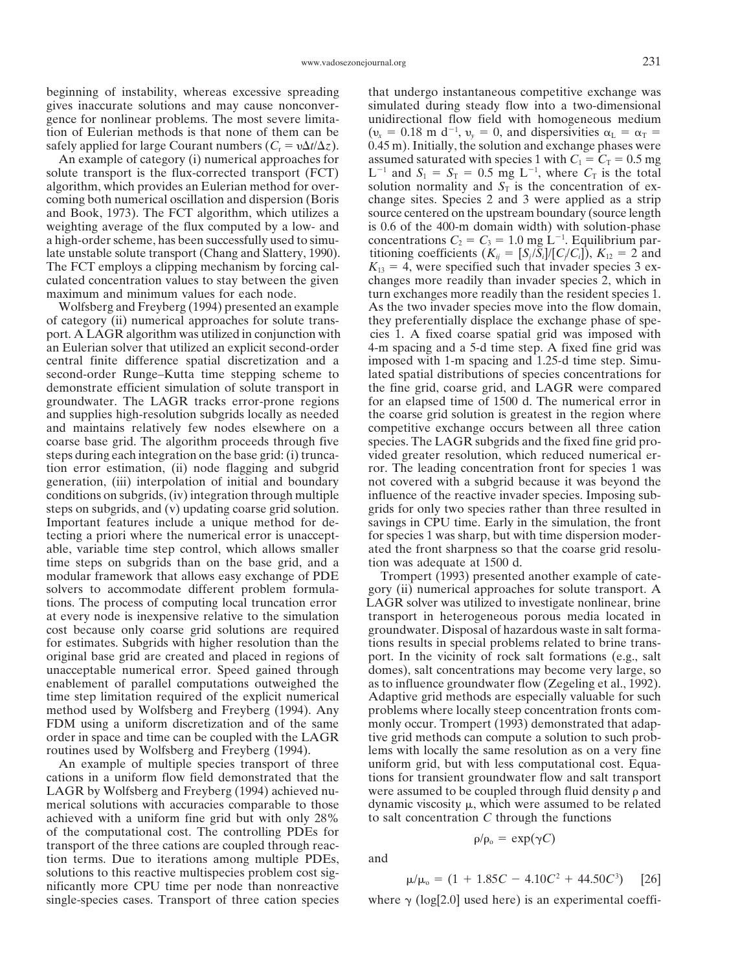beginning of instability, whereas excessive spreading that undergo instantaneous competitive exchange was gives inaccurate solutions and may cause nonconver- simulated during steady flow into a two-dimensional gence for nonlinear problems. The most severe limita-<br>tion of Eulerian methods is that none of them can be  $(v_x = 0.18 \text{ m d}^{-1}, v_y = 0, \text{ and dispersivities } \alpha_L = \alpha_T =$ safely applied for large Courant numbers ( $C_r = v\Delta t/\Delta$ 

solute transport is the flux-corrected transport (FCT) algorithm, which provides an Eulerian method for over-<br>solution normality and  $S_T$  is the concentration of excoming both numerical oscillation and dispersion (Boris change sites. Species 2 and 3 were applied as a strip and Book, 1973). The FCT algorithm, which utilizes a source centered on the upstream boundary (source length weighting average of the flux computed by a low- and is 0.6 of the 400-m domain width) with solution-phase a high-order scheme, has been successfully used to simu-<br>concentrations  $C_2 = C_3 = 1.0$  mg L<sup>-1</sup>. Equilibrium parlate unstable solute transport (Chang and Slattery, 1990). titioning coefficients  $(K_{ij} = [S_j/S_i]/[C/C_i])$ ,  $K_{12} = 2$  and The FCT employs a clipping mechanism by forcing cal-  $K_{13} = 4$ , were specified such that invader species 3 exculated concentration values to stay between the given changes more readily than invader species 2, which in maximum and minimum values for each node. turn exchanges more readily than the resident species 1.

of category (ii) numerical approaches for solute trans- they preferentially displace the exchange phase of speport. A LAGR algorithm was utilized in conjunction with cies 1. A fixed coarse spatial grid was imposed with an Eulerian solver that utilized an explicit second-order 4-m spacing and a 5-d time step. A fixed fine grid was central finite difference spatial discretization and a imposed with 1-m spacing and 1.25-d time step. Simusecond-order Runge–Kutta time stepping scheme to lated spatial distributions of species concentrations for demonstrate efficient simulation of solute transport in the fine grid, coarse grid, and LAGR were compared groundwater. The LAGR tracks error-prone regions for an elapsed time of 1500 d. The numerical error in and supplies high-resolution subgrids locally as needed the coarse grid solution is greatest in the region where and maintains relatively few nodes elsewhere on a competitive exchange occurs between all three cation coarse base grid. The algorithm proceeds through five species. The LAGR subgrids and the fixed fine grid prosteps during each integration on the base grid: (i) trunca- vided greater resolution, which reduced numerical ertion error estimation, (ii) node flagging and subgrid ror. The leading concentration front for species 1 was generation, (iii) interpolation of initial and boundary not covered with a subgrid because it was beyond the conditions on subgrids, (iv) integration through multiple influence of the reactive invader species. Imposing substeps on subgrids, and (v) updating coarse grid solution. grids for only two species rather than three resulted in Important features include a unique method for de- savings in CPU time. Early in the simulation, the front tecting a priori where the numerical error is unaccept- for species 1 was sharp, but with time dispersion moderable, variable time step control, which allows smaller ated the front sharpness so that the coarse grid resolutime steps on subgrids than on the base grid, and a tion was adequate at 1500 d. modular framework that allows easy exchange of PDE Trompert (1993) presented another example of catesolvers to accommodate different problem formula- gory (ii) numerical approaches for solute transport. A tions. The process of computing local truncation error LAGR solver was utilized to investigate nonlinear, brine at every node is inexpensive relative to the simulation transport in heterogeneous porous media located in cost because only coarse grid solutions are required groundwater. Disposal of hazardous waste in salt formafor estimates. Subgrids with higher resolution than the tions results in special problems related to brine transoriginal base grid are created and placed in regions of port. In the vicinity of rock salt formations (e.g., salt unacceptable numerical error. Speed gained through domes), salt concentrations may become very large, so enablement of parallel computations outweighed the as to influence groundwater flow (Zegeling et al., 1992). time step limitation required of the explicit numerical Adaptive grid methods are especially valuable for such method used by Wolfsberg and Freyberg (1994). Any problems where locally steep concentration fronts com-FDM using a uniform discretization and of the same monly occur. Trompert (1993) demonstrated that adaporder in space and time can be coupled with the LAGR tive grid methods can compute a solution to such probroutines used by Wolfsberg and Freyberg (1994). lems with locally the same resolution as on a very fine

cations in a uniform flow field demonstrated that the tions for transient groundwater flow and salt transport LAGR by Wolfsberg and Freyberg (1994) achieved nu- were assumed to be coupled through fluid density  $\rho$  and merical solutions with accuracies comparable to those dynamic viscosity  $\mu$ , which were assumed to be related achieved with a uniform fine grid but with only 28% to salt concentration *C* through the functions of the computational cost. The controlling PDEs for transport of the three cations are coupled through reaction terms. Due to iterations among multiple PDEs, and solutions to this reactive multispecies problem cost siginficantly more CPU time per node than nonreactive single-species cases. Transport of three cation species where  $\gamma$  (log[2.0] used here) is an experimental coeffi-

 $(v_x = 0.18 \text{ m d}^{-1}, v_y = 0, \text{ and dispersivities } \alpha_L = \alpha_T =$ 0.45 m). Initially, the solution and exchange phases were An example of category (i) numerical approaches for assumed saturated with species 1 with  $C_1 = C_T = 0.5$  mg  $L^{-1}$  and  $S_1 = S_T = 0.5$  mg  $L^{-1}$ , where  $C_T$  is the total Wolfsberg and Freyberg (1994) presented an example As the two invader species move into the flow domain,

An example of multiple species transport of three uniform grid, but with less computational cost. Equa-

$$
\rho/\rho_{0} = \exp(\gamma C)
$$

$$
\mu/\mu_{o} = (1 + 1.85C - 4.10C^{2} + 44.50C^{3}) \quad [26]
$$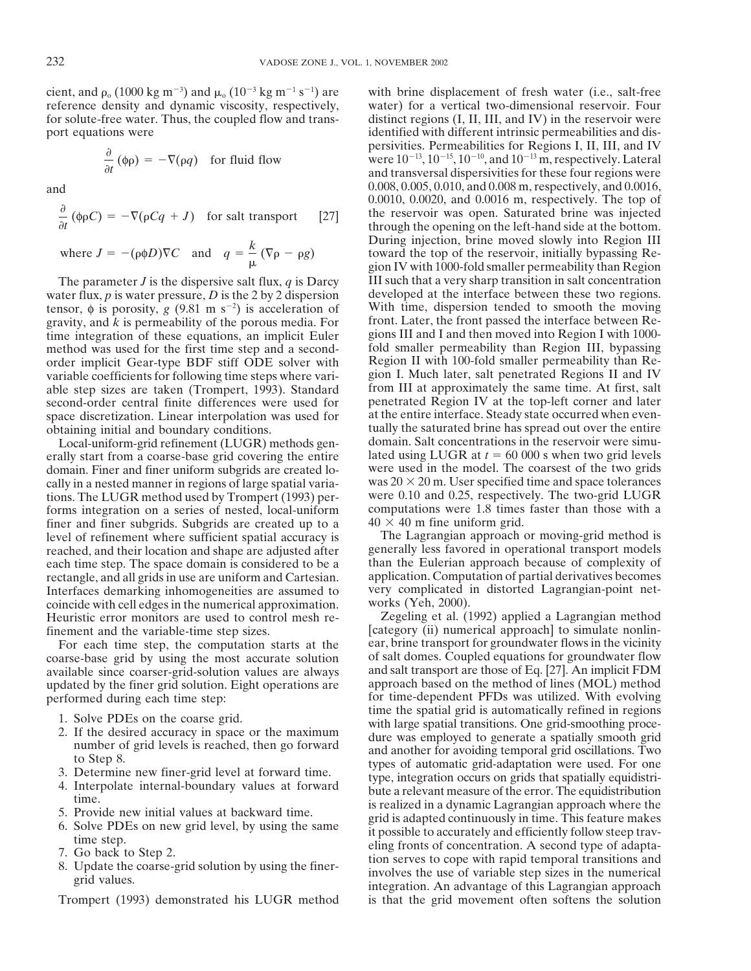cient, and  $\rho_{0}$  (1000 kg m<sup>-3</sup>) and  $\mu_{0}$  (10<sup>-3</sup> kg m<sup>-1</sup> s<sup>-1</sup> reference density and dynamic viscosity, respectively, water) for a vertical two-dimensional reservoir. Four for solute-free water. Thus, the coupled flow and trans- distinct regions (I, II, III, and IV) in the reservoir were port equations were identified with different intrinsic permeabilities and dis-

$$
\frac{\partial}{\partial t} (\phi \rho) = -\nabla(\rho q) \quad \text{for fluid flow}
$$

$$
\frac{\partial}{\partial t} (\phi \rho C) = -\nabla(\rho C q + J) \quad \text{for salt transport} \qquad [27]
$$
\n
$$
\text{where } J = -(\rho \phi D)\nabla C \quad \text{and} \quad q = \frac{k}{\mu} (\nabla \rho - \rho g)
$$

water flux,  $p$  is water pressure,  $D$  is the 2 by 2 dispersion tensor,  $\phi$  is porosity, *g* (9.81 m s<sup>-2</sup>) is acceleration of gravity, and  $k$  is permeability of the porous media. For time integration of these equations, an implicit Euler gions III and I and then moved into Region I with 1000-<br>method was used for the first time step and a second-<br>fold smaller permeability than Region III, bypassing method was used for the first time step and a second-<br>order implicit Gear-type BDF stiff ODE solver with Region II with 100-fold smaller permeability than Reorder implicit Gear-type BDF stiff ODE solver with Region II with 100-fold smaller permeability than Re-<br>variable coefficients for following time steps where vari- gion I. Much later, salt penetrated Regions II and IV variable coefficients for following time steps where vari-<br>able steps in I. Much later, salt penetrated Regions II and IV<br>able step sizes are taken (Trompert, 1993). Standard from III at approximately the same time. At fir able step sizes are taken (Trompert, 1993). Standard from III at approximately the same time. At first, salt second-order central finite differences were used for penetrated Region IV at the top-left corner and later second-order central finite differences were used for penetrated Region IV at the top-left corner and later space discretization. Linear interpolation was used for at the entire interface. Steady state occurred when evenspace discretization. Linear interpolation was used for

erally start from a coarse-base grid covering the entire lated using LUGR at  $t = 60,000$  s when two grid levels domain. Finer and finer uniform subgrids are created lodomain. Finer and finer uniform subgrids are created lo-cally in a nested manner in regions of large spatial variations. The LUGR method used by Trompert (1993) performs integration on a series of nested, local-uniform computations were 1.8 times faster than those with a finer and finer subgrids. Subgrids are created up to a  $40 \times 40$  m fine uniform grid. finer and finer subgrids. Subgrids are created up to a  $40 \times 40$  m fine uniform grid.<br>level of refinement where sufficient spatial accuracy is The Lagrangian approach or moving-grid method is level of refinement where sufficient spatial accuracy is The Lagrangian approach or moving-grid method is reached, and their location and shape are adjusted after generally less favored in operational transport models reached, and their location and shape are adjusted after generally less favored in operational transport models each time step. The space domain is considered to be a than the Eulerian approach because of complexity of each time step. The space domain is considered to be a than the Eulerian approach because of complexity of rectangle, and all grids in use are uniform and Cartesian. application. Computation of partial derivatives becomes rectangle, and all grids in use are uniform and Cartesian. application. Computation of partial derivatives becomes<br>Interfaces demarking inhomogeneities are assumed to very complicated in distorted Lagrangian-point net-Interfaces demarking inhomogeneities are assumed to very complicated in coincide with cell edges in the numerical approximation. works (Yeh, 2000). coincide with cell edges in the numerical approximation. works (Yeh, 2000).<br>
Heuristic error monitors are used to control mesh re-<br>
Zegeling et al. (1992) applied a Lagrangian method Heuristic error monitors are used to control mesh re-

coarse-base grid by using the most accurate solution available since coarser-grid-solution values are always and salt transport are those of Eq. [27]. An implicit FDM updated by the finer grid solution. Eight operations are approach based on the method of lines (MOL) method

- 
- 
- 
- 
- 
- 
- 
- 

Trompert (1993) demonstrated his LUGR method is that the grid movement often softens the solution

with brine displacement of fresh water (i.e., salt-free persivities. Permeabilities for Regions I, II, III, and IV were  $10^{-13}$ ,  $10^{-15}$ ,  $10^{-10}$ , and  $10^{-13}$  m, respectively. Lateral and transversal dispersivities for these four regions were and 0.008, 0.008, 0.005, 0.0005, 0.0008, 0.0008 m, respectively, and 0.0016, 0.0010, 0.0020, and 0.0016 m, respectively. The top of the reservoir was open. Saturated brine was injected through the opening on the left-hand side at the bottom. During injection, brine moved slowly into Region III toward the top of the reservoir, initially bypassing Region IV with 1000-fold smaller permeability than Region The parameter *J* is the dispersive salt flux, *q* is Darcy III such that a very sharp transition in salt concentration ater flux, *p* is water pressure. *D* is the 2 by 2 dispersion developed at the interface between the With time, dispersion tended to smooth the moving front. Later, the front passed the interface between Reobtaining initial and boundary conditions.<br>Local-uniform-grid refinement (LUGR) methods gen-<br>domain. Salt concentrations in the reservoir were simu-Local-uniform-grid refinement (LUGR) methods gen-<br>ally start from a coarse-base grid covering the entire lated using LUGR at  $t = 60,000$  s when two grid levels was  $20 \times 20$  m. User specified time and space tolerances were 0.10 and 0.25, respectively. The two-grid LUGR

finement and the variable-time step sizes. [category (ii) numerical approach] to simulate nonlin-<br>For each time step, the computation starts at the ear, brine transport for groundwater flows in the vicinity For each time step, the computation starts at the ear, brine transport for groundwater flows in the vicinity parse-base grid by using the most accurate solution of salt domes. Coupled equations for groundwater flow performed during each time step: for time-dependent PFDs was utilized. With evolving<br>time the spatial grid is automatically refined in regions 1. Solve PDEs on the coarse grid.<br>
2. If the desired accuracy in space or the maximum<br>
2. If the desired accuracy in space or the maximum<br>
2. If the desired accuracy in space or the maximum<br>
2. If the desired accuracy in s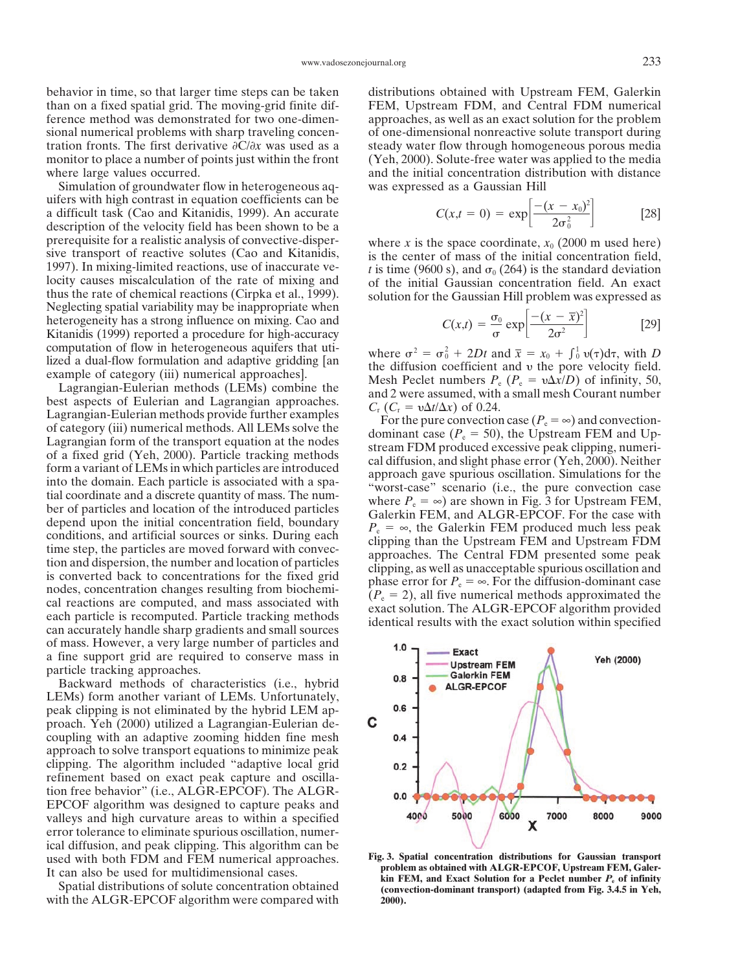than on a fixed spatial grid. The moving-grid finite dif- FEM, Upstream FDM, and Central FDM numerical ference method was demonstrated for two one-dimen- approaches, as well as an exact solution for the problem sional numerical problems with sharp traveling concen- of one-dimensional nonreactive solute transport during tration fronts. The first derivative  $\partial C/\partial x$  was used as a steady water flow through homogeneous porous media monitor to place a number of points just within the front (Yeh, 2000). Solute-free water was applied to the media where large values occurred.  $\blacksquare$  and the initial concentration distribution with distance

Simulation of groundwater flow in heterogeneous aq- was expressed as a Gaussian Hill uifers with high contrast in equation coefficients can be a difficult task (Cao and Kitanidis, 1999). An accurate description of the velocity field has been shown to be a prerequisite for a realistic analysis of convective-disper-<br>sive transport of reactive solutes (Cao and Kitanidis,<br>1997). In mixing-limited reactions, use of inaccurate ve-<br>locity causes miscalculation of the rate of mixi thus the rate of chemical reactions (Cirpka et al., 1999). solution for the Gaussian Hill problem was expressed as Neglecting spatial variability may be inappropriate when heterogeneity has a strong influence on mixing. Cao and Kitanidis (1999) reported a procedure for high-accuracy computation of flow in heterogeneous aquifers that uti-<br>lized a dual-flow formulation and adaptive gridding [an

*x*/*D*) of 0.24. Lagrangian-Eulerian methods (LEMs) combine the and 2 were assumed, with a small mesh Courant number best aspects of Eulerian and Lagrangian approaches.  $C_r$  ( $C_r = v\Delta t/\Delta x$ ) of 0.24.  $C_r$  ( $C_r = v\Delta t/\Delta x$ ) an Lagrangian -Eulerian and Lagrangian approaches.  $C_r$  ( $C_r = v\Delta t/\Delta x$ ) of 0.24.<br>
Lagrangian -Eulerian methods provide further examples<br>
of category (iii) numerical methods. All LEMs solve the<br>
dominant case ( $P_e = \infty$ ) and co of mass. However, a very large number of particles and a fine support grid are required to conserve mass in particle tracking approaches.

Backward methods of characteristics (i.e., hybrid LEMs) form another variant of LEMs. Unfortunately, peak clipping is not eliminated by the hybrid LEM approach. Yeh (2000) utilized a Lagrangian-Eulerian decoupling with an adaptive zooming hidden fine mesh approach to solve transport equations to minimize peak clipping. The algorithm included "adaptive local grid refinement based on exact peak capture and oscillation free behavior" (i.e., ALGR-EPCOF). The ALGR-EPCOF algorithm was designed to capture peaks and valleys and high curvature areas to within a specified error tolerance to eliminate spurious oscillation, numerical diffusion, and peak clipping. This algorithm can be used with both FDM and FEM numerical approaches. **Fig. 3. Spatial concentration distributions for Gaussian transport**<br>It can also be used for multidimensional cases

with the ALGR-EPCOF algorithm were compared with 2000).

behavior in time, so that larger time steps can be taken distributions obtained with Upstream FEM, Galerkin

$$
C(x,t = 0) = \exp\left[\frac{-(x - x_0)^2}{2\sigma_0^2}\right]
$$
 [28]

$$
C(x,t) = \frac{\sigma_0}{\sigma} \exp\left[\frac{-(x-\overline{x})^2}{2\sigma^2}\right]
$$
 [29]

where  $\sigma^2 = \sigma_0^2 + 2Dt$  and  $\bar{x} = x_0 + \int_0^1 v(\tau) d\tau$ , with D fized a dual-how formulation and adaptive gridding [and the diffusion coefficient and v the pore velocity field.<br>
example of category (iii) numerical approaches].<br>
Lagrangian-Eulerian methods (LEMs) combine the and 2 were  $C_{\rm r}$  ( $C_{\rm r}$  =  $v\Delta t/\Delta x$ ) of 0.24.



It can also be used for multidimensional cases.<br>Spatial distributions of solute concentration obtained<br>(convection-dominant transport) (adapted from Fig. 3.4.5 in Yeh,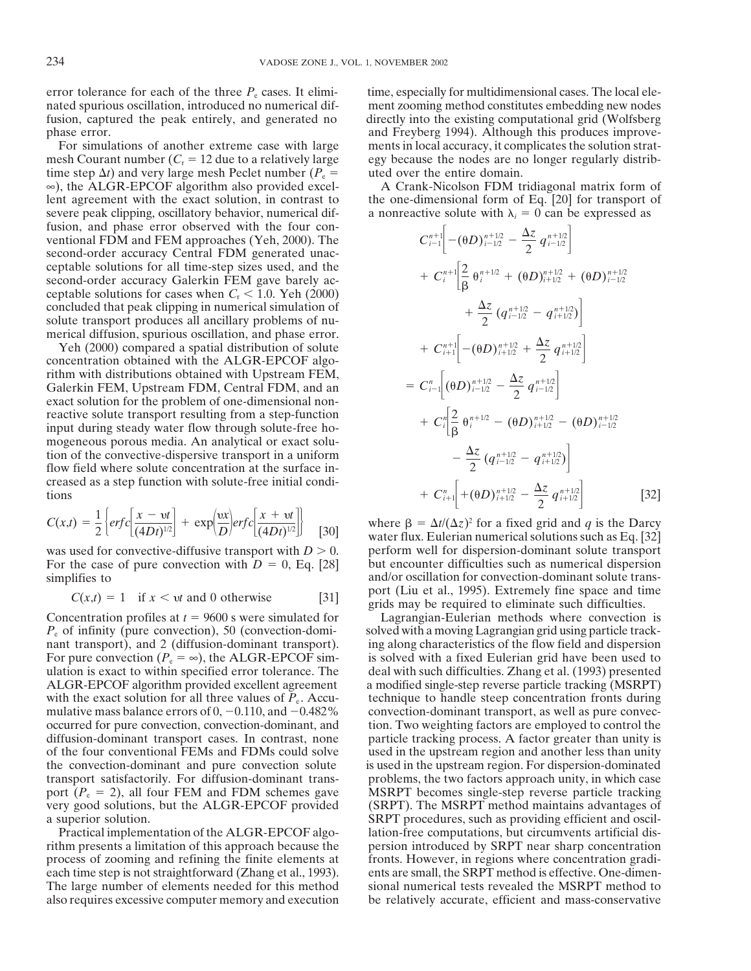mesh Courant number  $(C<sub>r</sub> = 12$  due to a relatively large egy because the nodes are no longer regularly distribtime step  $\Delta t$ ) and very large mesh Peclet number ( $P_e$  = uted over the entire domain. ∞), the ALGR-EPCOF algorithm also provided excel- A Crank-Nicolson FDM tridiagonal matrix form of lent agreement with the exact solution, in contrast to the one-dimensional form of Eq. [20] for transport of severe peak clipping, oscillatory behavior, numerical dif- a nonreactive solute with  $\lambda_i = 0$  can be expressed as fusion, and phase error observed with the four conventional FDM and FEM approaches (Yeh, 2000). The second-order accuracy Central FDM generated unacceptable solutions for all time-step sizes used, and the second-order accuracy Galerkin FEM gave barely acceptable solutions for cases when  $C_r < 1.0$ . Yeh (2000) concluded that peak clipping in numerical simulation of solute transport produces all ancillary problems of numerical diffusion, spurious oscillation, and phase error.

Yeh (2000) compared a spatial distribution of solute concentration obtained with the ALGR-EPCOF algorithm with distributions obtained with Upstream FEM,<br>
Galerkin FEM, Upstream FDM, Central FDM, and an  $C_{i-1}^n \left[ (\theta D)^{n+1/2} - \frac{\Delta z}{2} q^{n+1/2} \right]$ <br>
exact solution for the problem of one dimensional pop exact solution for the problem of one-dimensional nonreactive solute transport resulting from a step-function input during steady water flow through solute-free homogeneous porous media. An analytical or exact solution of the convective-dispersive transport in a uniform flow field where solute concentration at the surface increased as a step function with solute-free initial condi tions  $+ C_{i+1}^n + (\theta D)^{n+1/2}_{i+1/2} - \frac{\Delta}{2} q^{n+1/2}_{i+1/2}$  [32]

$$
C(x,t) = \frac{1}{2} \left\{ erf c \left[ \frac{x - vt}{(4Dt)^{1/2}} \right] + \exp \left( \frac{vx}{D} \right) erf c \left[ \frac{x + vt}{(4Dt)^{1/2}} \right] \right\}
$$
 [30]

For the case of pure convection with  $D = 0$ , Eq. [28]

$$
C(x,t) = 1 \quad \text{if } x < vt \text{ and } 0 \text{ otherwise} \tag{31}
$$

also requires excessive computer memory and execution be relatively accurate, efficient and mass-conservative

error tolerance for each of the three  $P_e$  cases. It elimi- time, especially for multidimensional cases. The local elenated spurious oscillation, introduced no numerical dif- ment zooming method constitutes embedding new nodes fusion, captured the peak entirely, and generated no directly into the existing computational grid (Wolfsberg phase error. and Freyberg 1994). Although this produces improve-For simulations of another extreme case with large ments in local accuracy, it complicates the solution strat-

$$
C_{i-1}^{n+1}\left[-(\theta D)^{n+1/2}_{i-1/2} - \frac{\Delta z}{2} q_{i-1/2}^{n+1/2}\right] + C_{i}^{n+1}\left[\frac{2}{\beta} \theta_{i}^{n+1/2} + (\theta D)^{n+1/2}_{i+1/2} + (\theta D)^{n+1/2}_{i-1/2} + \frac{\Delta z}{2} (q_{i-1/2}^{n+1/2} - q_{i+1/2}^{n+1/2})\right] + C_{i+1}^{n+1}\left[-(\theta D)^{n+1/2}_{i+1/2} + \frac{\Delta z}{2} q_{i+1/2}^{n+1/2}\right] = C_{i-1}^{n}\left[(\theta D)^{n+1/2}_{i-1/2} - \frac{\Delta z}{2} q_{i-1/2}^{n+1/2}\right] + C_{i}^{n}\left[\frac{2}{\beta} \theta_{i}^{n+1/2} - (\theta D)^{n+1/2}_{i+1/2} - (\theta D)^{n+1/2}_{i-1/2} - \frac{\Delta z}{2} (q_{i-1/2}^{n+1/2} - q_{i+1/2}^{n+1/2})\right] + C_{i+1}^{n}\left[+(\theta D)^{n+1/2}_{i+1/2} - \frac{\Delta z}{2} q_{i+1/2}^{n+1/2}\right] \qquad [3
$$

where  $\beta = \Delta t/(\Delta z)^2$  for a fixed grid and *q* is the Darcy water flux. Eulerian numerical solutions such as Eq. [32] was used for convective-diffusive transport with  $D > 0$ . perform well for dispersion-dominant solute transport<br>For the case of pure convection with  $D = 0$ , Eq. [28] but encounter difficulties such as numerical dispersion simplifies to and/or oscillation for convection-dominant solute transport (Liu et al., 1995). Extremely fine space and time *grids* may be required to eliminate such difficulties.

Concentration profiles at  $t = 9600$  s were simulated for Lagrangian-Eulerian methods where convection is *P<sub>e</sub>* of infinity (pure convection), 50 (convection-domi- solved with a moving Lagrangian grid using particle tracknant transport), and 2 (diffusion-dominant transport). ing along characteristics of the flow field and dispersion For pure convection  $(P_e = \infty)$ , the ALGR-EPCOF sim- is solved with a fixed Eulerian grid have been used to ulation is exact to within specified error tolerance. The deal with such difficulties. Zhang et al. (1993) presented ALGR-EPCOF algorithm provided excellent agreement a modified single-step reverse particle tracking (MSRPT) with the exact solution for all three values of  $P_e$ . Accu- technique to handle steep concentration fronts during mulative mass balance errors of  $0, -0.110$ , and  $-0.482\%$  convection-dominant transport, as well as pure convecoccurred for pure convection, convection-dominant, and tion. Two weighting factors are employed to control the diffusion-dominant transport cases. In contrast, none particle tracking process. A factor greater than unity is of the four conventional FEMs and FDMs could solve used in the upstream region and another less than unity the convection-dominant and pure convection solute is used in the upstream region. For dispersion-dominated transport satisfactorily. For diffusion-dominant trans- problems, the two factors approach unity, in which case port  $(P_e = 2)$ , all four FEM and FDM schemes gave MSRPT becomes single-step reverse particle tracking very good solutions, but the ALGR-EPCOF provided (SRPT). The MSRPT method maintains advantages of a superior solution. SRPT procedures, such as providing efficient and oscil-Practical implementation of the ALGR-EPCOF algo-<br>lation-free computations, but circumvents artificial disrithm presents a limitation of this approach because the persion introduced by SRPT near sharp concentration process of zooming and refining the finite elements at fronts. However, in regions where concentration gradieach time step is not straightforward (Zhang et al., 1993). ents are small, the SRPT method is effective. One-dimen-The large number of elements needed for this method sional numerical tests revealed the MSRPT method to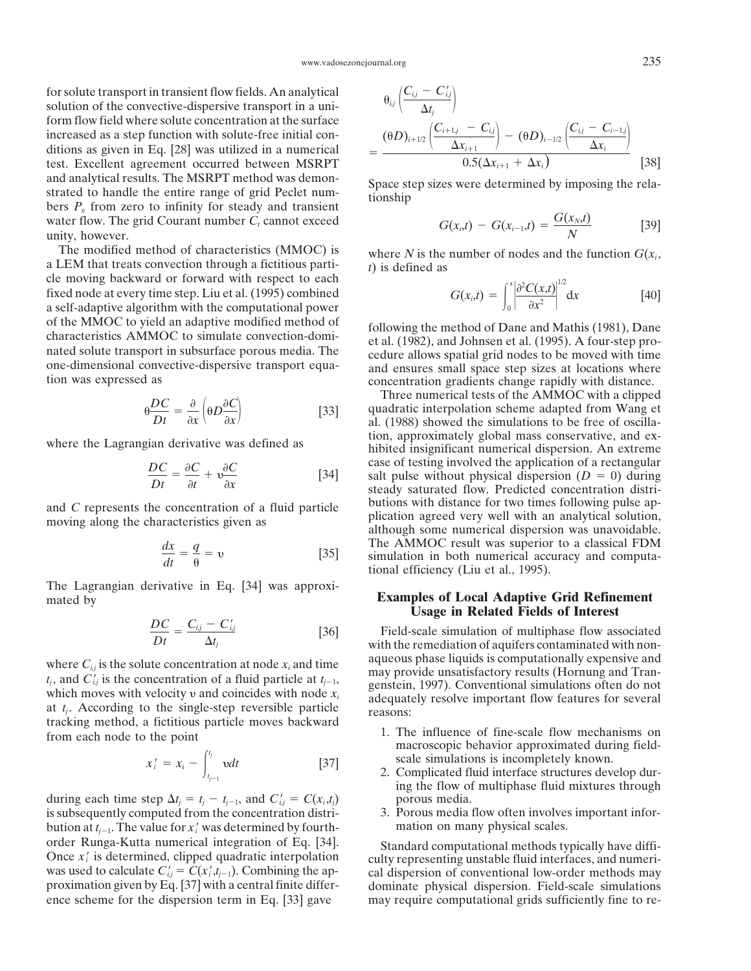for solute transport in transient flow fields. An analytical *i,j* solution of the convective-dispersive transport in a uniform flow field where solute concentration at the surface increased as a step function with solute-free initial conditions as given in Eq. [28] was utilized in a numerical  $=$ test. Excellent agreement occurred between MSRPT and analytical results. The MSRPT method was demon-<br>strated to handle the entire range of grid Peclet num-<br>bers  $P_e$  from zero to infinity for steady and transient<br>and transient water flow. The grid Courant number *C*<sub>r</sub> cannot exceed  $G(x_i,t) - G(x_{i-1},t) = \frac{G(x_N,t)}{N}$  [39]

The modified method of characteristics (MMOC) is where *N* is the number of nodes and the function  $G(x_i)$ ,<br>a LEM that treats convection through a fictitious parti-<br>cle moving backward or forward with respect to each fixed node at every time step. Liu et al. (1995) combined a self-adaptive algorithm with the computational power of the MMOC to yield an adaptive modified method of<br>characteristics AMMOC to simulate convection-domi-<br>nated solute transport in subsurface porous media. The<br>one-dimensional convective-dispersive transport equa-<br>tion was e

$$
\theta \frac{DC}{Dt} = \frac{\partial}{\partial x} \left( \theta D \frac{\partial C}{\partial x} \right) \tag{33}
$$

$$
\frac{DC}{Dt} = \frac{\partial C}{\partial t} + \nu \frac{\partial C}{\partial x} \tag{34}
$$

$$
\frac{dx}{dt} = \frac{q}{\theta} = \nu \tag{35}
$$

The Lagrangian derivative in Eq. [34] was approximated by **Examples of Local Adaptive Grid Refinement** 

$$
\frac{DC}{Dt} = \frac{C_{ij} - C'_{ij}}{\Delta t_j} \tag{36}
$$

tracking method, a fictitious particle moves backward 1. The influence of fine-scale flow mechanisms on macroscopic behavior approximated during field-

$$
x'_{i} = x_{i} - \int_{t_{j-1}}^{t_{j}} v dt
$$
 [37]

during each time step  $\Delta t_j = t_j - t_{j-1}$ , and  $C'_{i,j} = C(x_i, t_j)$  porous media. is subsequently computed from the concentration distri- 3. Porous media flow often involves important inforbution at  $t_{i-1}$ . The value for  $x_i'$  was determined by fourth- mation on many physical scales. order Runga-Kutta numerical integration of Eq. [34]. Standard computational methods typically have diffi-<br>Once  $x'_i$  is determined, clipped quadratic interpolation<br>was used to calculate  $C'_{ij} = C(x'_i, t_{j-1})$ . Combining the ence scheme for the dispersion term in Eq. [33] gave may require computational grids sufficiently fine to re-

$$
\theta_{i,j} \left( \frac{C_{i,j} - C'_{i,j}}{\Delta t_j} \right)
$$
\n
$$
= \frac{(\theta D)_{i+1/2} \left( \frac{C_{i+1,j} - C_{i,j}}{\Delta x_{i+1}} \right) - (\theta D)_{i-1/2} \left( \frac{C_{i,j} - C_{i-1,j}}{\Delta x_i} \right)}{0.5(\Delta x_{i+1} + \Delta x_i)} \qquad [38]
$$

$$
G(x_i,t) - G(x_{i-1},t) = \frac{G(x_N,t)}{N}
$$
 [39]

$$
G(x_i,t) = \int_0^x \left| \frac{\partial^2 C(x,t)}{\partial x^2} \right|^{1/2} dx
$$
 [40]

Three numerical tests of the AMMOC with a clipped  $\frac{\partial DC}{Dt} = \frac{\partial}{\partial x} \left( \theta D \frac{\partial C}{\partial x} \right)$  [33] *all* quadratic interpolation scheme adapted from Wang et al. (1988) showed the simulations to be free of oscillawhere the Lagrangian derivative was defined as  $\frac{1}{2}$  hibited insignificant numerical dispersion. An extreme case of testing involved the application of a rectangular salt pulse without physical dispersion ( $D = 0$ ) during steady saturated flow. Predicted concentration distriand C represents the concentration of a fluid particle butions with distance for two times following pulse ap-<br>moving along the characteristics given as <br>although some numerical dispersion was unavoidable. The AMMOC result was superior to a classical FDM simulation in both numerical accuracy and computational efficiency (Liu et al., 1995).

# **Usage in Related Fields of Interest**

Field-scale simulation of multiphase flow associated with the remediation of aquifers contaminated with nonwhere  $C_{i,j}$  is the solute concentration at node  $x_i$  and time<br>  $t_j$ , and  $C'_{i,j}$  is the concentration of a fluid particle at  $t_{j-1}$ , and  $C'_{i,j}$  is the concentration of a fluid particle at  $t_{j-1}$ , and  $C'_{i,j}$  is

- scale simulations is incompletely known.
- 2. Complicated fluid interface structures develop during the flow of multiphase fluid mixtures through
- 

,*tj*1). Combining the ap- cal dispersion of conventional low-order methods may dominate physical dispersion. Field-scale simulations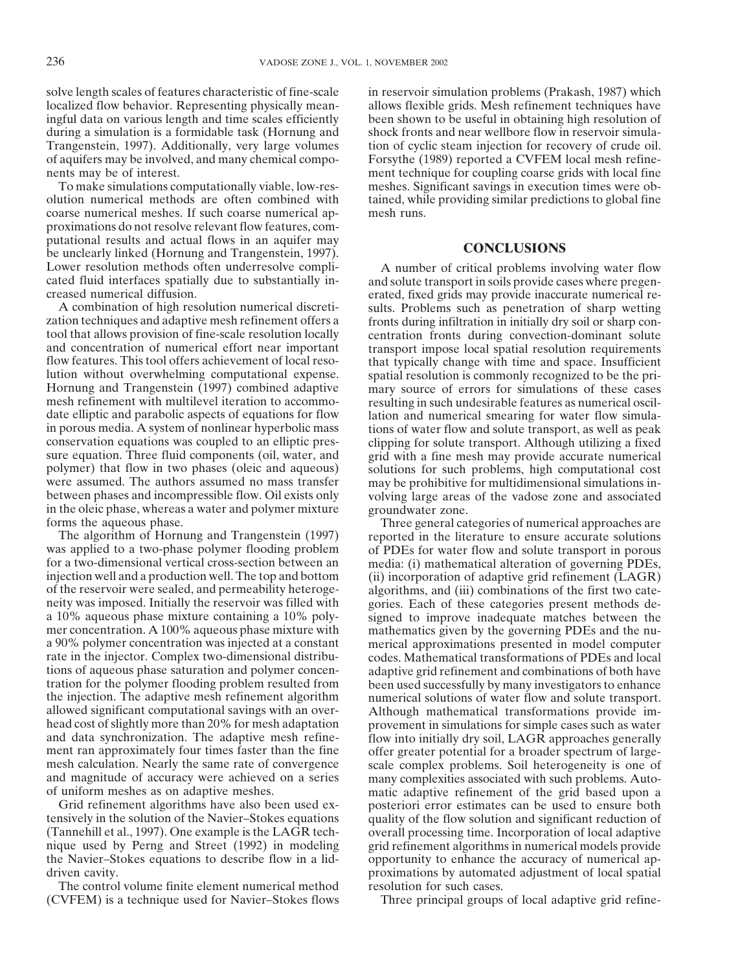coarse numerical meshes. If such coarse numerical ap- mesh runs. proximations do not resolve relevant flow features, computational results and actual flows in an aquifer may **CONCLUSIONS** be unclearly linked (Hornung and Trangenstein, 1997). Lower resolution methods often underresolve compli-<br>
A number of critical problems involving water flow<br>
cated fluid interfaces spatially due to substantially in-<br>
and solute transport in soils provide cases where pregen-

A combination of high resolution numerical discreti-<br>zation techniques and adaptive mesh refinement offers a fronts during infiltration in initially dry soil or sharp contool that allows provision of fine-scale resolution locally centration fronts during convection-dominant solute and concentration of numerical effort near important transport impose local spatial resolution requirements flow features. This tool offers achievement of local reso- that typically change with time and space. Insufficient lution without overwhelming computational expense. spatial resolution is commonly recognized to be the pri-<br>Hornung and Trangenstein (1997) combined adaptive mary source of errors for simulations of these cases Hornung and Trangenstein (1997) combined adaptive mary source of errors for simulations of these cases mesh refinement with multilevel iteration to accommo-<br>resulting in such undesirable features as numerical oscilmesh refinement with multilevel iteration to accommo-<br>date elliptic and parabolic aspects of equations for flow<br>lation and numerical smearing for water flow simuladate elliptic and parabolic aspects of equations for flow lation and numerical smearing for water flow simula-<br>in porous media. A system of nonlinear hyperbolic mass in so for water flow and solute transport, as well as pe conservation equations was coupled to an elliptic pres-<br>sure equation. Three fluid components (oil, water, and a grid with a fine mesh may provide accurate numerical polymer) that flow in two phases (oleic and aqueous) solutions for such problems, high computational cost were assumed. The authors assumed no mass transfer may be prohibitive for multidimensional simulations inwere assumed. The authors assumed no mass transfer may be prohibitive for multidimensional simulations in-<br>between phases and incompressible flow. Oil exists only volving large areas of the vadose zone and associated in the oleic phase, whereas a water and polymer mixture groundwater zone.<br>
forms the aqueous phase. Three general ca

was applied to a two-phase polymer flooding problem of PDEs for water flow and solute transport in porous for a two-dimensional vertical cross-section between an media: (i) mathematical alteration of governing PDEs. for a two-dimensional vertical cross-section between an media: (i) mathematical alteration of governing PDEs, injection well and a production well. The top and bottom (ii) incorporation of adaptive grid refinement (LAGR) injection well and a production well. The top and bottom (ii) incorporation of adaptive grid refinement (LAGR) of the reservoir were sealed, and permeability heteroge-<br>algorithms, and (iii) combinations of the first two ca of the reservoir were sealed, and permeability heteroge-<br>neity was imposed. Initially the reservoir was filled with gories. Each of these categories present methods dea 10% aqueous phase mixture containing a 10% poly-<br>mer concentration. A 100% aqueous phase mixture with mathematics given by the governing PDEs and the nua 90% polymer concentration was injected at a constant merical approximations presented in model computer rate in the injector. Complex two-dimensional distribu-<br>codes. Mathematical transformations of PDEs and local rate in the injector. Complex two-dimensional distribu-<br>tions of aqueous phase saturation and polymer concen-<br>adaptive grid refinement and combinations of both have tration for the polymer flooding problem resulted from been used successfully by many investigators to enhance the injection. The adaptive mesh refinement algorithm numerical solutions of water flow and solute transport. allowed significant computational savings with an over- Although mathematical transformations provide imhead cost of slightly more than 20% for mesh adaptation provement in simulations for simple cases such as water<br>and data synchronization. The adaptive mesh refine-<br>flow into initially dry soil. LAGR approaches generally and data synchronization. The adaptive mesh refine-<br>ment ran approximately four times faster than the fine offer greater potential for a broader spectrum of largemesh calculation. Nearly the same rate of convergence scale complex problems. Soil heterogeneity is one of and magnitude of accuracy were achieved on a series many complexities associated with such problems. Auto-

The control volume finite element numerical method resolution for such cases. (CVFEM) is a technique used for Navier–Stokes flows Three principal groups of local adaptive grid refine-

solve length scales of features characteristic of fine-scale in reservoir simulation problems (Prakash, 1987) which localized flow behavior. Representing physically mean- allows flexible grids. Mesh refinement techniques have ingful data on various length and time scales efficiently been shown to be useful in obtaining high resolution of during a simulation is a formidable task (Hornung and shock fronts and near wellbore flow in reservoir simula-Trangenstein, 1997). Additionally, very large volumes tion of cyclic steam injection for recovery of crude oil. of aquifers may be involved, and many chemical compo- Forsythe (1989) reported a CVFEM local mesh refinenents may be of interest. ment technique for coupling coarse grids with local fine To make simulations computationally viable, low-res- meshes. Significant savings in execution times were obolution numerical methods are often combined with tained, while providing similar predictions to global fine

and solute transport in soils provide cases where pregencreased numerical diffusion. erated, fixed grids may provide inaccurate numerical refronts during infiltration in initially dry soil or sharp contransport impose local spatial resolution requirements tions of water flow and solute transport, as well as peak grid with a fine mesh may provide accurate numerical volving large areas of the vadose zone and associated

Three general categories of numerical approaches are. The algorithm of Hornung and Trangenstein (1997) reported in the literature to ensure accurate solutions gories. Each of these categories present methods demathematics given by the governing PDEs and the nuadaptive grid refinement and combinations of both have offer greater potential for a broader spectrum of largemany complexities associated with such problems. Autoof uniform meshes as on adaptive meshes. matic adaptive refinement of the grid based upon a Grid refinement algorithms have also been used ex- posteriori error estimates can be used to ensure both tensively in the solution of the Navier–Stokes equations quality of the flow solution and significant reduction of (Tannehill et al., 1997). One example is the LAGR tech- overall processing time. Incorporation of local adaptive grid refinement algorithms in numerical models provide the Navier–Stokes equations to describe flow in a lid- opportunity to enhance the accuracy of numerical apdriven cavity. **proximations** by automated adjustment of local spatial driven cavity.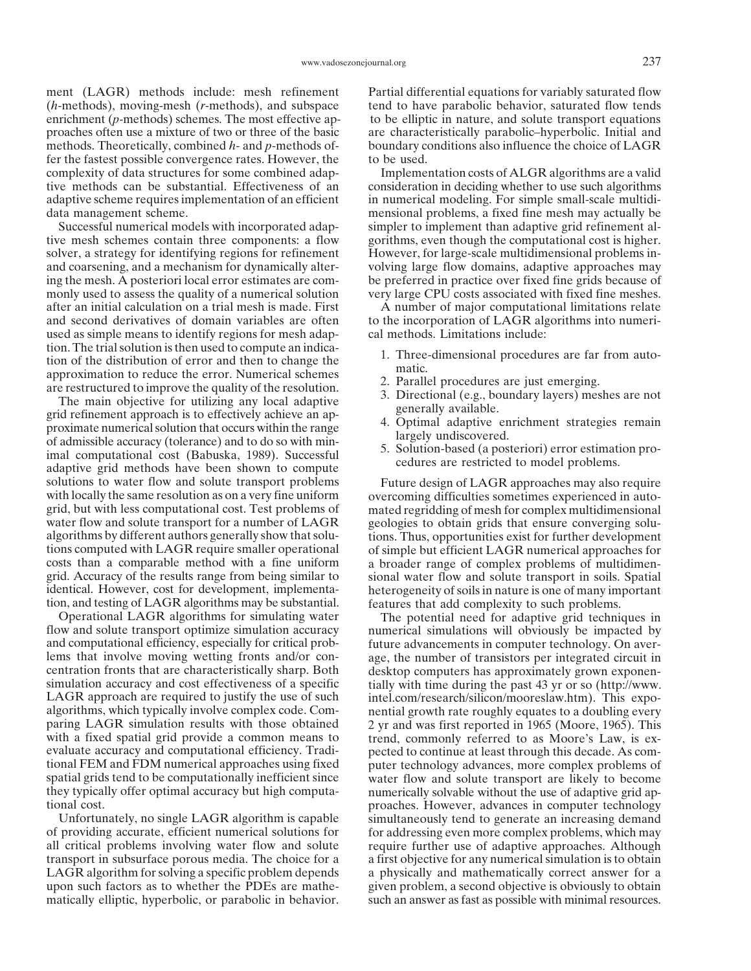ment (LAGR) methods include: mesh refinement Partial differential equations for variably saturated flow (*h*-methods), moving-mesh (*r*-methods), and subspace tend to have parabolic behavior, saturated flow tends enrichment (*p*-methods) schemes. The most effective ap- to be elliptic in nature, and solute transport equations proaches often use a mixture of two or three of the basic are characteristically parabolic–hyperbolic. Initial and methods. Theoretically, combined *h*- and *p*-methods of- boundary conditions also influence the choice of LAGR fer the fastest possible convergence rates. However, the to be used. complexity of data structures for some combined adap- Implementation costs of ALGR algorithms are a valid tive methods can be substantial. Effectiveness of an consideration in deciding whether to use such algorithms adaptive scheme requires implementation of an efficient in numerical modeling. For simple small-scale multididata management scheme. mensional problems, a fixed fine mesh may actually be

tive mesh schemes contain three components: a flow gorithms, even though the computational cost is higher. solver, a strategy for identifying regions for refinement However, for large-scale multidimensional problems inand coarsening, and a mechanism for dynamically alter- volving large flow domains, adaptive approaches may ing the mesh. A posteriori local error estimates are com- be preferred in practice over fixed fine grids because of monly used to assess the quality of a numerical solution very large CPU costs associated with fixed fine meshes. after an initial calculation on a trial mesh is made. First A number of major computational limitations relate and second derivatives of domain variables are often to the incorporation of LAGR algorithms into numeriused as simple means to identify regions for mesh adap- cal methods. Limitations include:

tion. The trial solution is then used to compute an indica-<br>
approximation to reduce the error. Numerical schemes<br>
are restructured to improve the quality of the resolution.<br>
The main objective for utilizing any local adap solutions to water flow and solute transport problems Future design of LAGR approaches may also require with locally the same resolution as on a very fine uniform overcoming difficulties sometimes experienced in autogrid, but with less computational cost. Test problems of mated regridding of mesh for complex multidimensional water flow and solute transport for a number of LAGR geologies to obtain grids that ensure converging solualgorithms by different authors generally show that solu- tions. Thus, opportunities exist for further development tions computed with LAGR require smaller operational of simple but efficient LAGR numerical approaches for costs than a comparable method with a fine uniform a broader range of complex problems of multidimencosts than a comparable method with a fine uniform a broader range of complex problems of multidimengrid. Accuracy of the results range from being similar to sional water flow and solute transport in soils. Spatial grid. Accuracy of the results range from being similar to sional water flow and solute transport in soils. Spatial identical. However, cost for development, implementa-<br>heterogeneity of soils in nature is one of many impor tion, and testing of LAGR algorithms may be substantial. features that add complexity to such problems.

Operational LAGR algorithms for simulating water The potential need for adaptive grid techniques in flow and solute transport optimize simulation accuracy numerical simulations will obviously be impacted by and computational efficiency, especially for critical prob-<br>lems that involve moving wetting fronts and/or con-<br>age, the number of transistors per integrated circuit in lems that involve moving wetting fronts and/or con-<br>eage, the number of transistors per integrated circuit in<br>centration fronts that are characteristically sharp. Both<br>desktop computers has approximately grown exponensimulation accuracy and cost effectiveness of a specific tially with time during the past 43 yr or so (http://www. LAGR approach are required to justify the use of such intel.com/research/silicon/mooreslaw.htm). This expoalgorithms, which typically involve complex code. Com- nential growth rate roughly equates to a doubling every paring LAGR simulation results with those obtained 2 yr and was first reported in 1965 (Moore, 1965). This with a fixed spatial grid provide a common means to trend, commonly referred to as Moore's Law, is exevaluate accuracy and computational efficiency. Tradi-<br>tional FEM and FDM numerical approaches using fixed<br>puter technology advances, more complex problems of spatial grids tend to be computationally inefficient since water flow and solute transport are likely to become they typically offer optimal accuracy but high computa- numerically solvable without the use of adaptive grid aptional cost. proaches. However, advances in computer technology

of providing accurate, efficient numerical solutions for for addressing even more complex problems, which may all critical problems involving water flow and solute require further use of adaptive approaches. Although transport in subsurface porous media. The choice for a a first objective for any numerical simulation is to obtain LAGR algorithm for solving a specific problem depends a physically and mathematically correct answer for a upon such factors as to whether the PDEs are mathe- given problem, a second objective is obviously to obtain matically elliptic, hyperbolic, or parabolic in behavior. such an answer as fast as possible with minimal resources.

Successful numerical models with incorporated adap- simpler to implement than adaptive grid refinement al-

- 
- 
- 
- 
- 

overcoming difficulties sometimes experienced in autogeologies to obtain grids that ensure converging soluheterogeneity of soils in nature is one of many important

desktop computers has approximately grown exponentrend, commonly referred to as Moore's Law, is exputer technology advances, more complex problems of Unfortunately, no single LAGR algorithm is capable simultaneously tend to generate an increasing demand